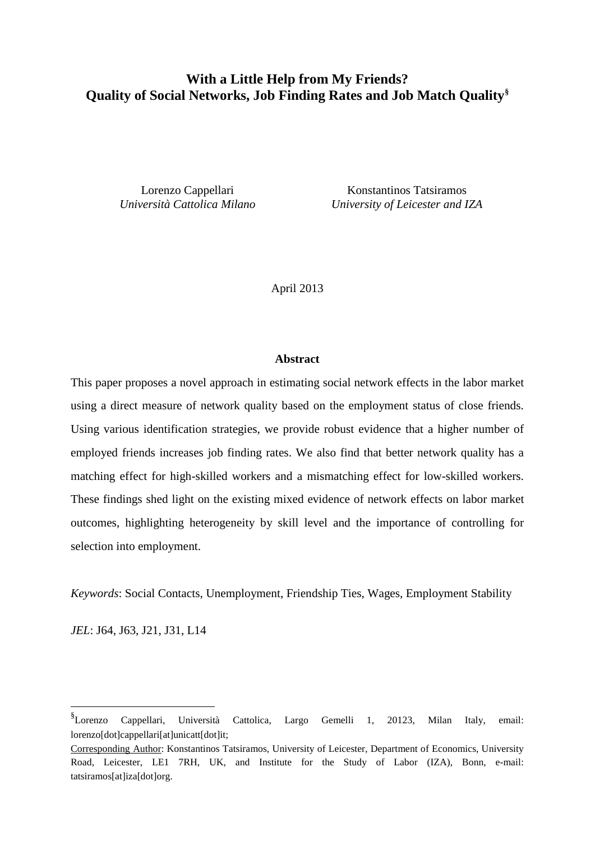# **With a Little Help from My Friends? Quality of Social Networks, Job Finding Rates and Job Match Quality[§](#page-0-0)**

Lorenzo Cappellari Konstantinos Tatsiramos *Università Cattolica Milano University of Leicester and IZA*

April 2013

### **Abstract**

This paper proposes a novel approach in estimating social network effects in the labor market using a direct measure of network quality based on the employment status of close friends. Using various identification strategies, we provide robust evidence that a higher number of employed friends increases job finding rates. We also find that better network quality has a matching effect for high-skilled workers and a mismatching effect for low-skilled workers. These findings shed light on the existing mixed evidence of network effects on labor market outcomes, highlighting heterogeneity by skill level and the importance of controlling for selection into employment.

*Keywords*: Social Contacts, Unemployment, Friendship Ties, Wages, Employment Stability

*JEL*: J64, J63, J21, J31, L14

<span id="page-0-0"></span> <sup>§</sup> Lorenzo Cappellari, Università Cattolica, Largo Gemelli 1, 20123, Milan Italy, email: lorenzo[dot]cappellari[at]unicatt[dot]it;

Corresponding Author: Konstantinos Tatsiramos*,* University of Leicester, Department of Economics, University Road, Leicester, LE1 7RH, UK, and Institute for the Study of Labor (IZA), Bonn, e-mail: tatsiramos[at]iza[dot]org.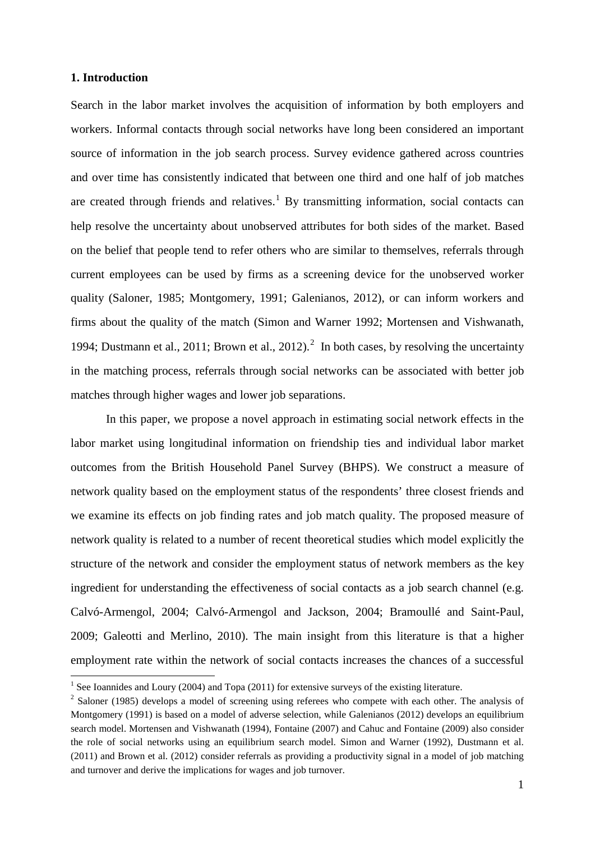## **1. Introduction**

Search in the labor market involves the acquisition of information by both employers and workers. Informal contacts through social networks have long been considered an important source of information in the job search process. Survey evidence gathered across countries and over time has consistently indicated that between one third and one half of job matches are created through friends and relatives.<sup>[1](#page-1-0)</sup> By transmitting information, social contacts can help resolve the uncertainty about unobserved attributes for both sides of the market. Based on the belief that people tend to refer others who are similar to themselves, referrals through current employees can be used by firms as a screening device for the unobserved worker quality (Saloner, 1985; Montgomery, 1991; Galenianos, 2012), or can inform workers and firms about the quality of the match (Simon and Warner 1992; Mortensen and Vishwanath, 1994; Dustmann et al., [2](#page-1-1)011; Brown et al., 2012).<sup>2</sup> In both cases, by resolving the uncertainty in the matching process, referrals through social networks can be associated with better job matches through higher wages and lower job separations.

In this paper, we propose a novel approach in estimating social network effects in the labor market using longitudinal information on friendship ties and individual labor market outcomes from the British Household Panel Survey (BHPS). We construct a measure of network quality based on the employment status of the respondents' three closest friends and we examine its effects on job finding rates and job match quality. The proposed measure of network quality is related to a number of recent theoretical studies which model explicitly the structure of the network and consider the employment status of network members as the key ingredient for understanding the effectiveness of social contacts as a job search channel (e.g. Calvó-Armengol, 2004; Calvó-Armengol and Jackson, 2004; Bramoullé and Saint-Paul, 2009; Galeotti and Merlino, 2010). The main insight from this literature is that a higher employment rate within the network of social contacts increases the chances of a successful

<span id="page-1-0"></span><sup>&</sup>lt;sup>1</sup> See Ioannides and Loury (2004) and Topa (2011) for extensive surveys of the existing literature.

<span id="page-1-1"></span><sup>&</sup>lt;sup>2</sup> Saloner (1985) develops a model of screening using referees who compete with each other. The analysis of Montgomery (1991) is based on a model of adverse selection, while Galenianos (2012) develops an equilibrium search model. Mortensen and Vishwanath (1994), Fontaine (2007) and Cahuc and Fontaine (2009) also consider the role of social networks using an equilibrium search model. Simon and Warner (1992), Dustmann et al. (2011) and Brown et al. (2012) consider referrals as providing a productivity signal in a model of job matching and turnover and derive the implications for wages and job turnover.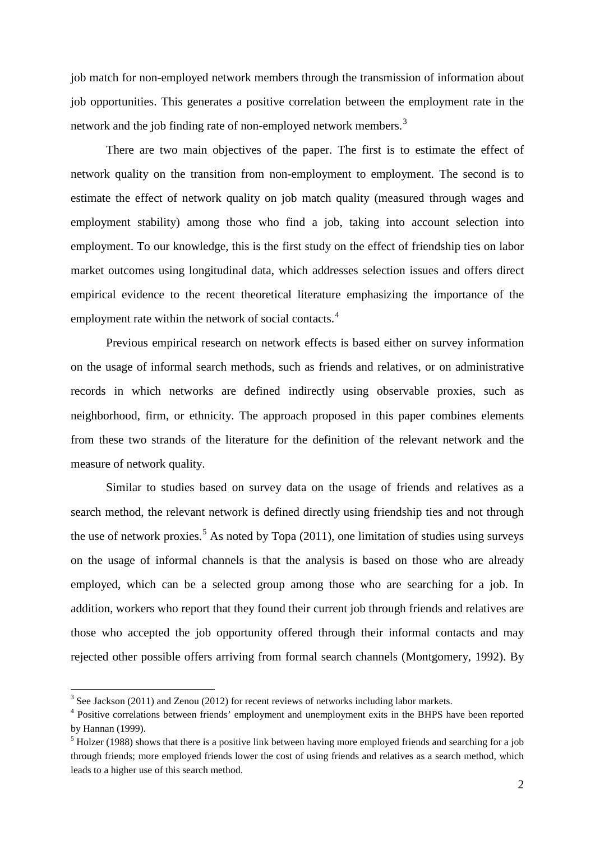job match for non-employed network members through the transmission of information about job opportunities. This generates a positive correlation between the employment rate in the network and the job finding rate of non-employed network members.<sup>[3](#page-2-0)</sup>

There are two main objectives of the paper. The first is to estimate the effect of network quality on the transition from non-employment to employment. The second is to estimate the effect of network quality on job match quality (measured through wages and employment stability) among those who find a job, taking into account selection into employment. To our knowledge, this is the first study on the effect of friendship ties on labor market outcomes using longitudinal data, which addresses selection issues and offers direct empirical evidence to the recent theoretical literature emphasizing the importance of the employment rate within the network of social contacts.<sup>[4](#page-2-1)</sup>

Previous empirical research on network effects is based either on survey information on the usage of informal search methods, such as friends and relatives, or on administrative records in which networks are defined indirectly using observable proxies, such as neighborhood, firm, or ethnicity. The approach proposed in this paper combines elements from these two strands of the literature for the definition of the relevant network and the measure of network quality.

Similar to studies based on survey data on the usage of friends and relatives as a search method, the relevant network is defined directly using friendship ties and not through the use of network proxies.<sup>[5](#page-2-2)</sup> As noted by Topa (2011), one limitation of studies using surveys on the usage of informal channels is that the analysis is based on those who are already employed, which can be a selected group among those who are searching for a job. In addition, workers who report that they found their current job through friends and relatives are those who accepted the job opportunity offered through their informal contacts and may rejected other possible offers arriving from formal search channels (Montgomery, 1992). By

<span id="page-2-3"></span><span id="page-2-0"></span> $3$  See Jackson (2011) and Zenou (2012) for recent reviews of networks including labor markets.

<span id="page-2-1"></span><sup>&</sup>lt;sup>4</sup> Positive correlations between friends' employment and unemployment exits in the BHPS have been reported by Hannan (1999).

<span id="page-2-2"></span><sup>&</sup>lt;sup>5</sup> Holzer (1988) shows that there is a positive link between having more employed friends and searching for a job through friends; more employed friends lower the cost of using friends and relatives as a search method, which leads to a higher use of this search method.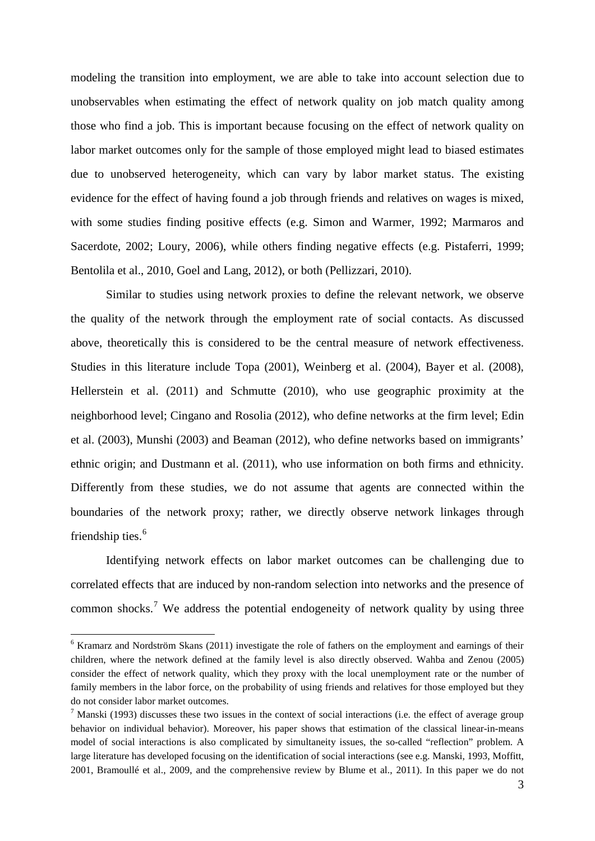modeling the transition into employment, we are able to take into account selection due to unobservables when estimating the effect of network quality on job match quality among those who find a job. This is important because focusing on the effect of network quality on labor market outcomes only for the sample of those employed might lead to biased estimates due to unobserved heterogeneity, which can vary by labor market status. The existing evidence for the effect of having found a job through friends and relatives on wages is mixed, with some studies finding positive effects (e.g. Simon and Warmer, 1992; Marmaros and Sacerdote, 2002; Loury, 2006), while others finding negative effects (e.g. Pistaferri, 1999; Bentolila et al., 2010, Goel and Lang, 2012), or both (Pellizzari, 2010).

Similar to studies using network proxies to define the relevant network, we observe the quality of the network through the employment rate of social contacts. As discussed above, theoretically this is considered to be the central measure of network effectiveness. Studies in this literature include Topa (2001), Weinberg et al. (2004), Bayer et al. (2008), Hellerstein et al. (2011) and Schmutte (2010), who use geographic proximity at the neighborhood level; Cingano and Rosolia (2012), who define networks at the firm level; Edin et al. (2003), Munshi (2003) and Beaman (2012), who define networks based on immigrants' ethnic origin; and Dustmann et al. (2011), who use information on both firms and ethnicity. Differently from these studies, we do not assume that agents are connected within the boundaries of the network proxy; rather, we directly observe network linkages through friendship ties.<sup>[6](#page-2-3)</sup>

Identifying network effects on labor market outcomes can be challenging due to correlated effects that are induced by non-random selection into networks and the presence of common shocks.<sup>[7](#page-3-0)</sup> We address the potential endogeneity of network quality by using three

 <sup>6</sup> Kramarz and Nordström Skans (2011) investigate the role of fathers on the employment and earnings of their children, where the network defined at the family level is also directly observed. Wahba and Zenou (2005) consider the effect of network quality, which they proxy with the local unemployment rate or the number of family members in the labor force, on the probability of using friends and relatives for those employed but they do not consider labor market outcomes.

<span id="page-3-0"></span><sup>&</sup>lt;sup>7</sup> Manski (1993) discusses these two issues in the context of social interactions (i.e. the effect of average group behavior on individual behavior). Moreover, his paper shows that estimation of the classical linear-in-means model of social interactions is also complicated by simultaneity issues, the so-called "reflection" problem. A large literature has developed focusing on the identification of social interactions (see e.g. Manski, 1993, Moffitt, 2001, Bramoullé et al., 2009, and the comprehensive review by Blume et al., 2011). In this paper we do not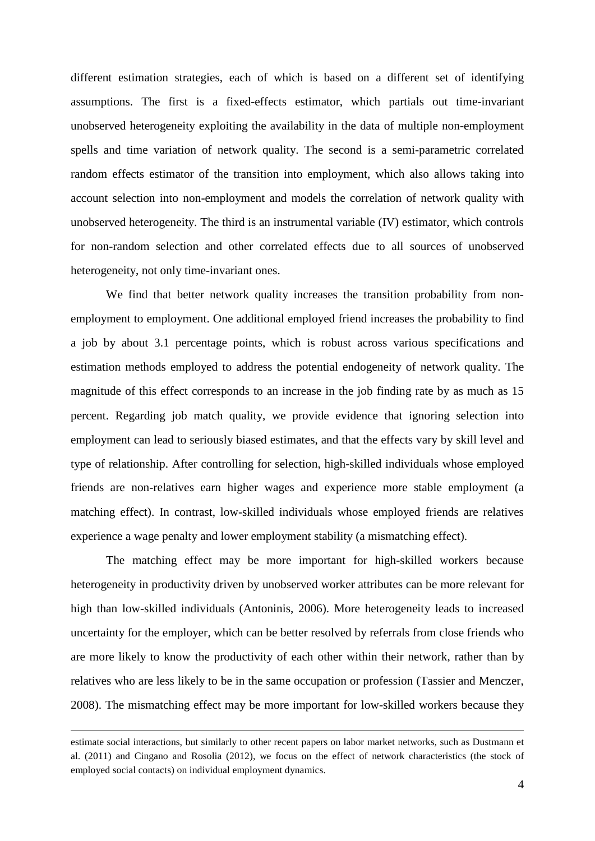different estimation strategies, each of which is based on a different set of identifying assumptions. The first is a fixed-effects estimator, which partials out time-invariant unobserved heterogeneity exploiting the availability in the data of multiple non-employment spells and time variation of network quality. The second is a semi-parametric correlated random effects estimator of the transition into employment, which also allows taking into account selection into non-employment and models the correlation of network quality with unobserved heterogeneity. The third is an instrumental variable (IV) estimator, which controls for non-random selection and other correlated effects due to all sources of unobserved heterogeneity, not only time-invariant ones.

We find that better network quality increases the transition probability from nonemployment to employment. One additional employed friend increases the probability to find a job by about 3.1 percentage points, which is robust across various specifications and estimation methods employed to address the potential endogeneity of network quality. The magnitude of this effect corresponds to an increase in the job finding rate by as much as 15 percent. Regarding job match quality, we provide evidence that ignoring selection into employment can lead to seriously biased estimates, and that the effects vary by skill level and type of relationship. After controlling for selection, high-skilled individuals whose employed friends are non-relatives earn higher wages and experience more stable employment (a matching effect). In contrast, low-skilled individuals whose employed friends are relatives experience a wage penalty and lower employment stability (a mismatching effect).

The matching effect may be more important for high-skilled workers because heterogeneity in productivity driven by unobserved worker attributes can be more relevant for high than low-skilled individuals (Antoninis, 2006). More heterogeneity leads to increased uncertainty for the employer, which can be better resolved by referrals from close friends who are more likely to know the productivity of each other within their network, rather than by relatives who are less likely to be in the same occupation or profession (Tassier and Menczer, 2008). The mismatching effect may be more important for low-skilled workers because they

<u>.</u>

estimate social interactions, but similarly to other recent papers on labor market networks, such as Dustmann et al. (2011) and Cingano and Rosolia (2012), we focus on the effect of network characteristics (the stock of employed social contacts) on individual employment dynamics.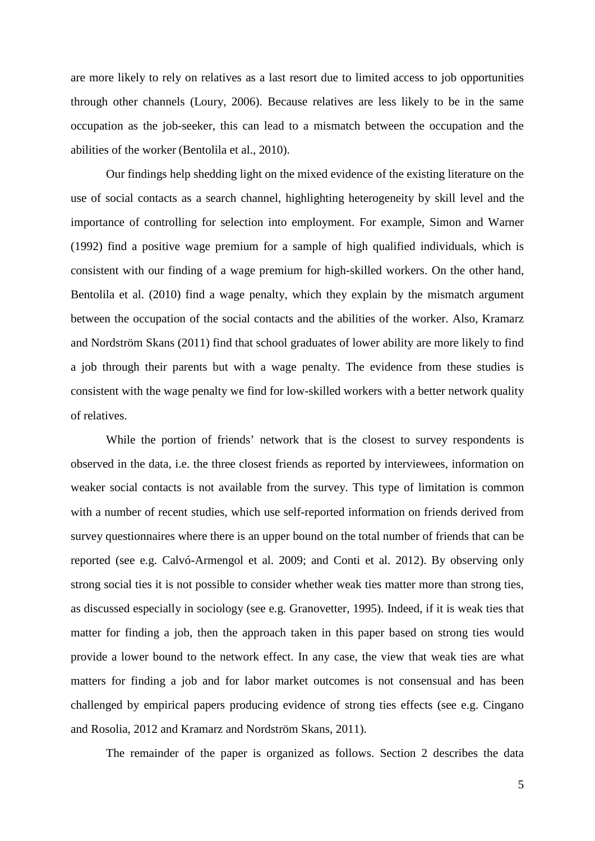are more likely to rely on relatives as a last resort due to limited access to job opportunities through other channels (Loury, 2006). Because relatives are less likely to be in the same occupation as the job-seeker, this can lead to a mismatch between the occupation and the abilities of the worker (Bentolila et al., 2010).

Our findings help shedding light on the mixed evidence of the existing literature on the use of social contacts as a search channel, highlighting heterogeneity by skill level and the importance of controlling for selection into employment. For example, Simon and Warner (1992) find a positive wage premium for a sample of high qualified individuals, which is consistent with our finding of a wage premium for high-skilled workers. On the other hand, Bentolila et al. (2010) find a wage penalty, which they explain by the mismatch argument between the occupation of the social contacts and the abilities of the worker. Also, Kramarz and Nordström Skans (2011) find that school graduates of lower ability are more likely to find a job through their parents but with a wage penalty. The evidence from these studies is consistent with the wage penalty we find for low-skilled workers with a better network quality of relatives.

While the portion of friends' network that is the closest to survey respondents is observed in the data, i.e. the three closest friends as reported by interviewees, information on weaker social contacts is not available from the survey. This type of limitation is common with a number of recent studies, which use self-reported information on friends derived from survey questionnaires where there is an upper bound on the total number of friends that can be reported (see e.g. Calvó-Armengol et al. 2009; and Conti et al. 2012). By observing only strong social ties it is not possible to consider whether weak ties matter more than strong ties, as discussed especially in sociology (see e.g. Granovetter, 1995). Indeed, if it is weak ties that matter for finding a job, then the approach taken in this paper based on strong ties would provide a lower bound to the network effect. In any case, the view that weak ties are what matters for finding a job and for labor market outcomes is not consensual and has been challenged by empirical papers producing evidence of strong ties effects (see e.g. Cingano and Rosolia, 2012 and Kramarz and Nordström Skans, 2011).

The remainder of the paper is organized as follows. Section 2 describes the data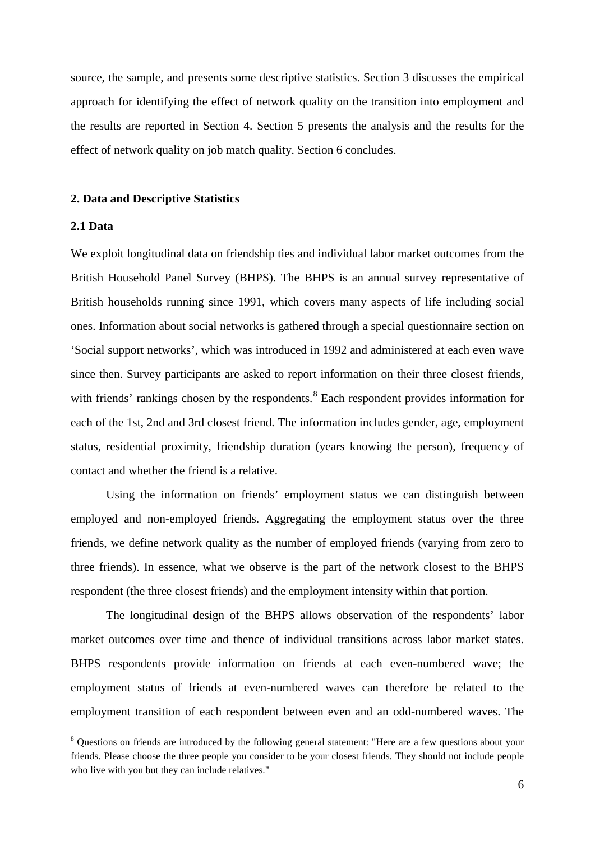source, the sample, and presents some descriptive statistics. Section 3 discusses the empirical approach for identifying the effect of network quality on the transition into employment and the results are reported in Section 4. Section 5 presents the analysis and the results for the effect of network quality on job match quality. Section 6 concludes.

#### **2. Data and Descriptive Statistics**

## **2.1 Data**

We exploit longitudinal data on friendship ties and individual labor market outcomes from the British Household Panel Survey (BHPS). The BHPS is an annual survey representative of British households running since 1991, which covers many aspects of life including social ones. Information about social networks is gathered through a special questionnaire section on 'Social support networks', which was introduced in 1992 and administered at each even wave since then. Survey participants are asked to report information on their three closest friends, with friends' rankings chosen by the respondents.<sup>[8](#page-6-0)</sup> Each respondent provides information for each of the 1st, 2nd and 3rd closest friend. The information includes gender, age, employment status, residential proximity, friendship duration (years knowing the person), frequency of contact and whether the friend is a relative.

Using the information on friends' employment status we can distinguish between employed and non-employed friends. Aggregating the employment status over the three friends, we define network quality as the number of employed friends (varying from zero to three friends). In essence, what we observe is the part of the network closest to the BHPS respondent (the three closest friends) and the employment intensity within that portion.

The longitudinal design of the BHPS allows observation of the respondents' labor market outcomes over time and thence of individual transitions across labor market states. BHPS respondents provide information on friends at each even-numbered wave; the employment status of friends at even-numbered waves can therefore be related to the employment transition of each respondent between even and an odd-numbered waves. The

<span id="page-6-0"></span><sup>&</sup>lt;sup>8</sup> Questions on friends are introduced by the following general statement: "Here are a few questions about your friends. Please choose the three people you consider to be your closest friends. They should not include people who live with you but they can include relatives."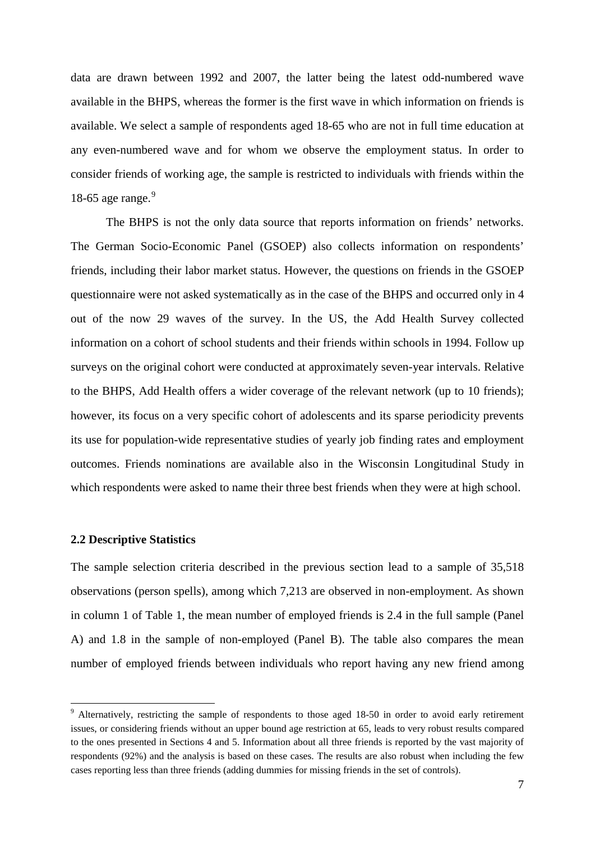data are drawn between 1992 and 2007, the latter being the latest odd-numbered wave available in the BHPS, whereas the former is the first wave in which information on friends is available. We select a sample of respondents aged 18-65 who are not in full time education at any even-numbered wave and for whom we observe the employment status. In order to consider friends of working age, the sample is restricted to individuals with friends within the 18-65 age range. $9$ 

The BHPS is not the only data source that reports information on friends' networks. The German Socio-Economic Panel (GSOEP) also collects information on respondents' friends, including their labor market status. However, the questions on friends in the GSOEP questionnaire were not asked systematically as in the case of the BHPS and occurred only in 4 out of the now 29 waves of the survey. In the US, the Add Health Survey collected information on a cohort of school students and their friends within schools in 1994. Follow up surveys on the original cohort were conducted at approximately seven-year intervals. Relative to the BHPS, Add Health offers a wider coverage of the relevant network (up to 10 friends); however, its focus on a very specific cohort of adolescents and its sparse periodicity prevents its use for population-wide representative studies of yearly job finding rates and employment outcomes. Friends nominations are available also in the Wisconsin Longitudinal Study in which respondents were asked to name their three best friends when they were at high school.

## **2.2 Descriptive Statistics**

The sample selection criteria described in the previous section lead to a sample of 35,518 observations (person spells), among which 7,213 are observed in non-employment. As shown in column 1 of Table 1, the mean number of employed friends is 2.4 in the full sample (Panel A) and 1.8 in the sample of non-employed (Panel B). The table also compares the mean number of employed friends between individuals who report having any new friend among

<span id="page-7-0"></span><sup>&</sup>lt;sup>9</sup> Alternatively, restricting the sample of respondents to those aged 18-50 in order to avoid early retirement issues, or considering friends without an upper bound age restriction at 65, leads to very robust results compared to the ones presented in Sections 4 and 5. Information about all three friends is reported by the vast majority of respondents (92%) and the analysis is based on these cases. The results are also robust when including the few cases reporting less than three friends (adding dummies for missing friends in the set of controls).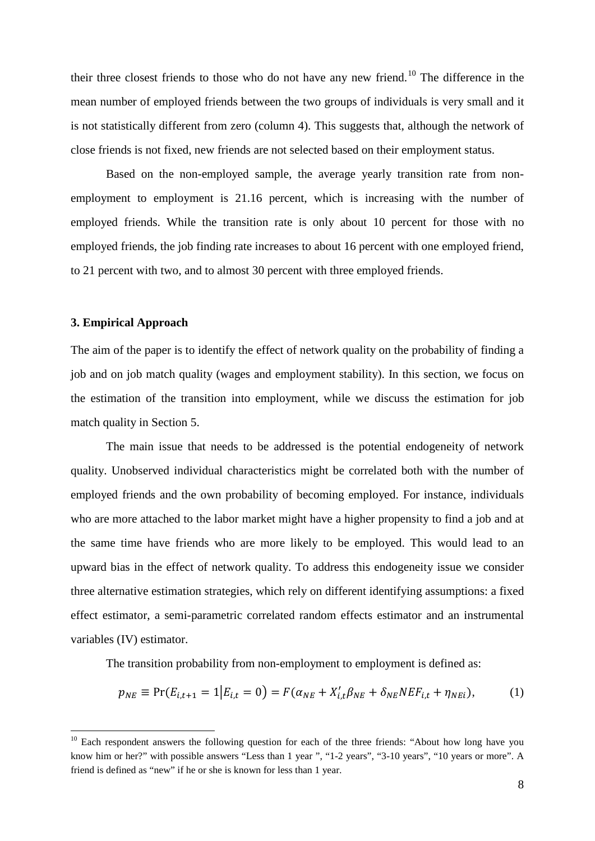their three closest friends to those who do not have any new friend.<sup>[10](#page-8-0)</sup> The difference in the mean number of employed friends between the two groups of individuals is very small and it is not statistically different from zero (column 4). This suggests that, although the network of close friends is not fixed, new friends are not selected based on their employment status.

Based on the non-employed sample, the average yearly transition rate from nonemployment to employment is 21.16 percent, which is increasing with the number of employed friends. While the transition rate is only about 10 percent for those with no employed friends, the job finding rate increases to about 16 percent with one employed friend, to 21 percent with two, and to almost 30 percent with three employed friends.

## **3. Empirical Approach**

The aim of the paper is to identify the effect of network quality on the probability of finding a job and on job match quality (wages and employment stability). In this section, we focus on the estimation of the transition into employment, while we discuss the estimation for job match quality in Section 5.

The main issue that needs to be addressed is the potential endogeneity of network quality. Unobserved individual characteristics might be correlated both with the number of employed friends and the own probability of becoming employed. For instance, individuals who are more attached to the labor market might have a higher propensity to find a job and at the same time have friends who are more likely to be employed. This would lead to an upward bias in the effect of network quality. To address this endogeneity issue we consider three alternative estimation strategies, which rely on different identifying assumptions: a fixed effect estimator, a semi-parametric correlated random effects estimator and an instrumental variables (IV) estimator.

The transition probability from non-employment to employment is defined as:

$$
p_{NE} \equiv \Pr(E_{i,t+1} = 1 | E_{i,t} = 0) = F(\alpha_{NE} + X'_{i,t} \beta_{NE} + \delta_{NE} N E F_{i,t} + \eta_{NEi}),
$$
(1)

<span id="page-8-0"></span> $10$  Each respondent answers the following question for each of the three friends: "About how long have you know him or her?" with possible answers "Less than 1 year ", "1-2 years", "3-10 years", "10 years or more". A friend is defined as "new" if he or she is known for less than 1 year.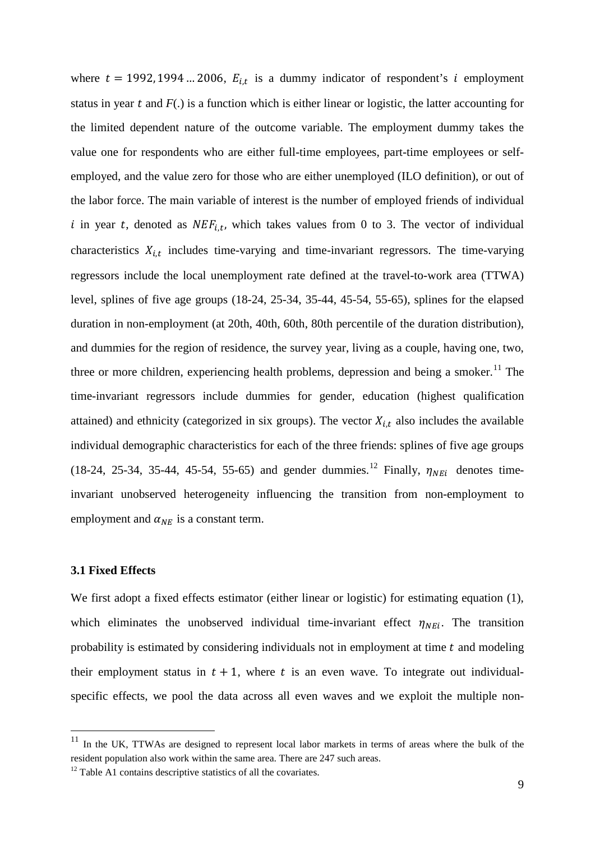where  $t = 1992, 1994 \dots 2006, E_{i,t}$  is a dummy indicator of respondent's *i* employment status in year  $t$  and  $F(.)$  is a function which is either linear or logistic, the latter accounting for the limited dependent nature of the outcome variable. The employment dummy takes the value one for respondents who are either full-time employees, part-time employees or selfemployed, and the value zero for those who are either unemployed (ILO definition), or out of the labor force. The main variable of interest is the number of employed friends of individual i in year t, denoted as  $NEF_{i,t}$ , which takes values from 0 to 3. The vector of individual characteristics  $X_{i,t}$  includes time-varying and time-invariant regressors. The time-varying regressors include the local unemployment rate defined at the travel-to-work area (TTWA) level, splines of five age groups (18-24, 25-34, 35-44, 45-54, 55-65), splines for the elapsed duration in non-employment (at 20th, 40th, 60th, 80th percentile of the duration distribution), and dummies for the region of residence, the survey year, living as a couple, having one, two, three or more children, experiencing health problems, depression and being a smoker.<sup>[11](#page-9-0)</sup> The time-invariant regressors include dummies for gender, education (highest qualification attained) and ethnicity (categorized in six groups). The vector  $X_{i,t}$  also includes the available individual demographic characteristics for each of the three friends: splines of five age groups (18-24, 25-34, 35-44, 45-54, 55-65) and gender dummies.<sup>[12](#page-9-1)</sup> Finally,  $\eta_{NEi}$  denotes timeinvariant unobserved heterogeneity influencing the transition from non-employment to employment and  $\alpha_{NE}$  is a constant term.

## **3.1 Fixed Effects**

We first adopt a fixed effects estimator (either linear or logistic) for estimating equation (1), which eliminates the unobserved individual time-invariant effect  $\eta_{NEi}$ . The transition probability is estimated by considering individuals not in employment at time  $t$  and modeling their employment status in  $t + 1$ , where t is an even wave. To integrate out individualspecific effects, we pool the data across all even waves and we exploit the multiple non-

<span id="page-9-0"></span><sup>&</sup>lt;sup>11</sup> In the UK, TTWAs are designed to represent local labor markets in terms of areas where the bulk of the resident population also work within the same area. There are 247 such areas.

<span id="page-9-1"></span> $12$  Table A1 contains descriptive statistics of all the covariates.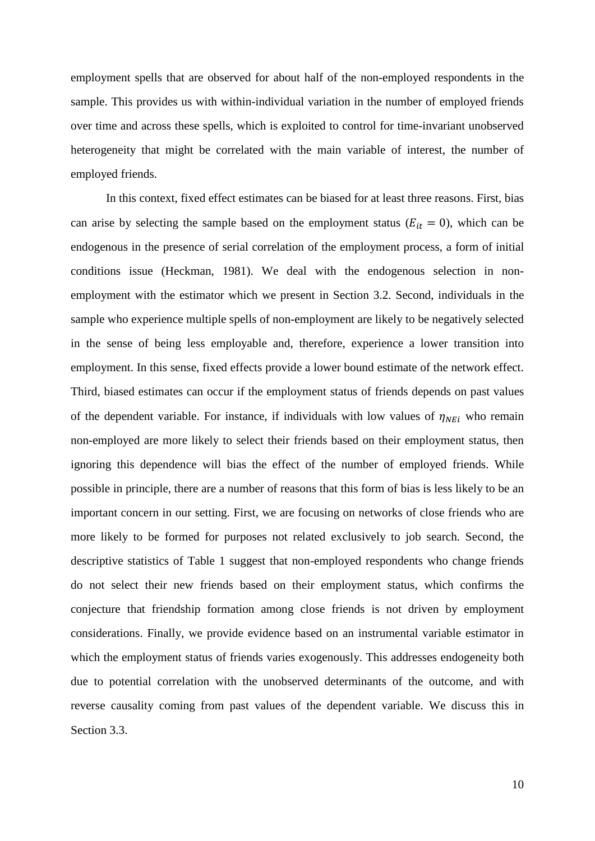employment spells that are observed for about half of the non-employed respondents in the sample. This provides us with within-individual variation in the number of employed friends over time and across these spells, which is exploited to control for time-invariant unobserved heterogeneity that might be correlated with the main variable of interest, the number of employed friends.

In this context, fixed effect estimates can be biased for at least three reasons. First, bias can arise by selecting the sample based on the employment status ( $E_{it} = 0$ ), which can be endogenous in the presence of serial correlation of the employment process, a form of initial conditions issue (Heckman, 1981). We deal with the endogenous selection in nonemployment with the estimator which we present in Section 3.2. Second, individuals in the sample who experience multiple spells of non-employment are likely to be negatively selected in the sense of being less employable and, therefore, experience a lower transition into employment. In this sense, fixed effects provide a lower bound estimate of the network effect. Third, biased estimates can occur if the employment status of friends depends on past values of the dependent variable. For instance, if individuals with low values of  $\eta_{NEi}$  who remain non-employed are more likely to select their friends based on their employment status, then ignoring this dependence will bias the effect of the number of employed friends. While possible in principle, there are a number of reasons that this form of bias is less likely to be an important concern in our setting. First, we are focusing on networks of close friends who are more likely to be formed for purposes not related exclusively to job search. Second, the descriptive statistics of Table 1 suggest that non-employed respondents who change friends do not select their new friends based on their employment status, which confirms the conjecture that friendship formation among close friends is not driven by employment considerations. Finally, we provide evidence based on an instrumental variable estimator in which the employment status of friends varies exogenously. This addresses endogeneity both due to potential correlation with the unobserved determinants of the outcome, and with reverse causality coming from past values of the dependent variable. We discuss this in Section 3.3.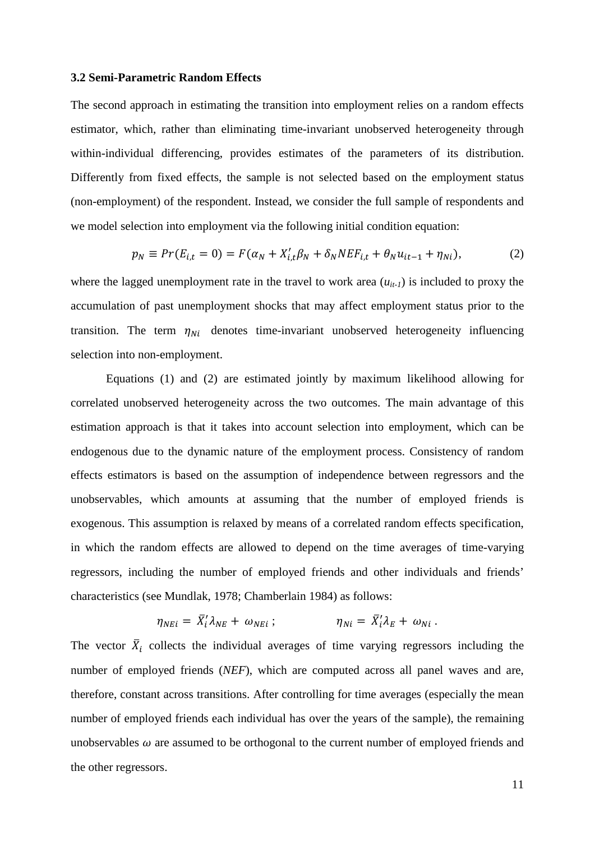#### **3.2 Semi-Parametric Random Effects**

The second approach in estimating the transition into employment relies on a random effects estimator, which, rather than eliminating time-invariant unobserved heterogeneity through within-individual differencing, provides estimates of the parameters of its distribution. Differently from fixed effects, the sample is not selected based on the employment status (non-employment) of the respondent. Instead, we consider the full sample of respondents and we model selection into employment via the following initial condition equation:

$$
p_N \equiv Pr(E_{i,t} = 0) = F(\alpha_N + X'_{i,t}\beta_N + \delta_N N E F_{i,t} + \theta_N u_{it-1} + \eta_{Ni}),
$$
 (2)

where the lagged unemployment rate in the travel to work area  $(u_{it-1})$  is included to proxy the accumulation of past unemployment shocks that may affect employment status prior to the transition. The term  $\eta_{Ni}$  denotes time-invariant unobserved heterogeneity influencing selection into non-employment.

Equations (1) and (2) are estimated jointly by maximum likelihood allowing for correlated unobserved heterogeneity across the two outcomes. The main advantage of this estimation approach is that it takes into account selection into employment, which can be endogenous due to the dynamic nature of the employment process. Consistency of random effects estimators is based on the assumption of independence between regressors and the unobservables, which amounts at assuming that the number of employed friends is exogenous. This assumption is relaxed by means of a correlated random effects specification, in which the random effects are allowed to depend on the time averages of time-varying regressors, including the number of employed friends and other individuals and friends' characteristics (see Mundlak, 1978; Chamberlain 1984) as follows:

$$
\eta_{NEi} = \bar{X}'_i \lambda_{NE} + \omega_{NEi} ; \qquad \eta_{Ni} = \bar{X}'_i \lambda_E + \omega_{Ni} .
$$

The vector  $\bar{X}_i$  collects the individual averages of time varying regressors including the number of employed friends (*NEF*), which are computed across all panel waves and are, therefore, constant across transitions. After controlling for time averages (especially the mean number of employed friends each individual has over the years of the sample), the remaining unobservables  $\omega$  are assumed to be orthogonal to the current number of employed friends and the other regressors.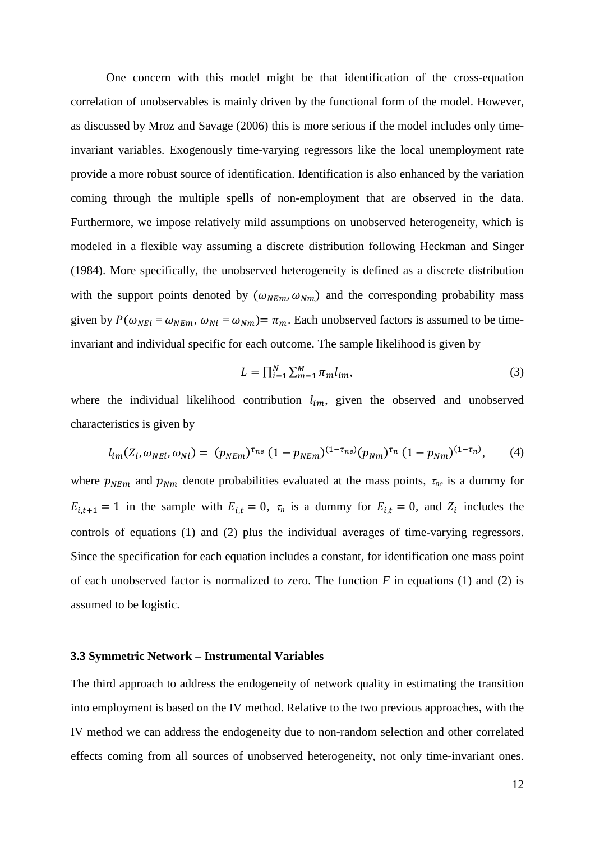One concern with this model might be that identification of the cross-equation correlation of unobservables is mainly driven by the functional form of the model. However, as discussed by Mroz and Savage (2006) this is more serious if the model includes only timeinvariant variables. Exogenously time-varying regressors like the local unemployment rate provide a more robust source of identification. Identification is also enhanced by the variation coming through the multiple spells of non-employment that are observed in the data. Furthermore, we impose relatively mild assumptions on unobserved heterogeneity, which is modeled in a flexible way assuming a discrete distribution following Heckman and Singer (1984). More specifically, the unobserved heterogeneity is defined as a discrete distribution with the support points denoted by  $(\omega_{NEm}, \omega_{Nm})$  and the corresponding probability mass given by  $P(\omega_{NEi} = \omega_{NEm}, \omega_{Ni} = \omega_{Nm}) = \pi_m$ . Each unobserved factors is assumed to be timeinvariant and individual specific for each outcome. The sample likelihood is given by

$$
L = \prod_{i=1}^{N} \sum_{m=1}^{M} \pi_m l_{im},\tag{3}
$$

where the individual likelihood contribution  $l_{im}$ , given the observed and unobserved characteristics is given by

$$
l_{im}(Z_i, \omega_{NEi}, \omega_{Ni}) = (p_{NEm})^{\tau_{ne}} (1 - p_{NEm})^{(1 - \tau_{ne})} (p_{Nm})^{\tau_n} (1 - p_{Nm})^{(1 - \tau_n)}, \qquad (4)
$$

where  $p_{NEm}$  and  $p_{Nm}$  denote probabilities evaluated at the mass points,  $\tau_{ne}$  is a dummy for  $E_{i,t+1} = 1$  in the sample with  $E_{i,t} = 0$ ,  $\tau_n$  is a dummy for  $E_{i,t} = 0$ , and  $Z_i$  includes the controls of equations (1) and (2) plus the individual averages of time-varying regressors. Since the specification for each equation includes a constant, for identification one mass point of each unobserved factor is normalized to zero. The function  $F$  in equations (1) and (2) is assumed to be logistic.

#### **3.3 Symmetric Network – Instrumental Variables**

The third approach to address the endogeneity of network quality in estimating the transition into employment is based on the IV method. Relative to the two previous approaches, with the IV method we can address the endogeneity due to non-random selection and other correlated effects coming from all sources of unobserved heterogeneity, not only time-invariant ones.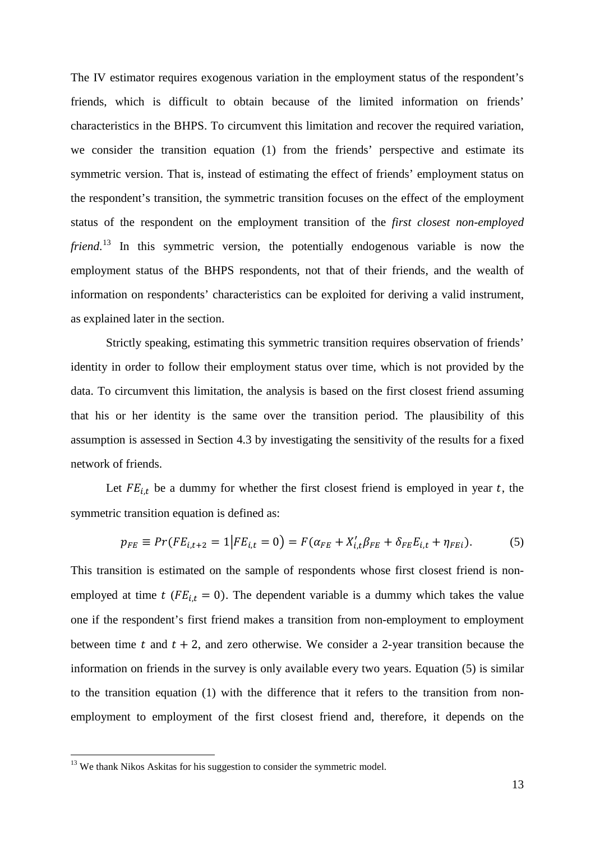The IV estimator requires exogenous variation in the employment status of the respondent's friends, which is difficult to obtain because of the limited information on friends' characteristics in the BHPS. To circumvent this limitation and recover the required variation, we consider the transition equation (1) from the friends' perspective and estimate its symmetric version. That is, instead of estimating the effect of friends' employment status on the respondent's transition, the symmetric transition focuses on the effect of the employment status of the respondent on the employment transition of the *first closest non-employed friend*. [13](#page-13-0) In this symmetric version, the potentially endogenous variable is now the employment status of the BHPS respondents, not that of their friends, and the wealth of information on respondents' characteristics can be exploited for deriving a valid instrument, as explained later in the section.

Strictly speaking, estimating this symmetric transition requires observation of friends' identity in order to follow their employment status over time, which is not provided by the data. To circumvent this limitation, the analysis is based on the first closest friend assuming that his or her identity is the same over the transition period. The plausibility of this assumption is assessed in Section 4.3 by investigating the sensitivity of the results for a fixed network of friends.

Let  $FE_{i,t}$  be a dummy for whether the first closest friend is employed in year t, the symmetric transition equation is defined as:

$$
p_{FE} \equiv Pr(FE_{i,t+2} = 1|FE_{i,t} = 0) = F(\alpha_{FE} + X'_{i,t}\beta_{FE} + \delta_{FE}E_{i,t} + \eta_{FEi}).
$$
 (5)

This transition is estimated on the sample of respondents whose first closest friend is nonemployed at time t ( $FE_{i,t} = 0$ ). The dependent variable is a dummy which takes the value one if the respondent's first friend makes a transition from non-employment to employment between time t and  $t + 2$ , and zero otherwise. We consider a 2-year transition because the information on friends in the survey is only available every two years. Equation (5) is similar to the transition equation (1) with the difference that it refers to the transition from nonemployment to employment of the first closest friend and, therefore, it depends on the

<span id="page-13-0"></span><sup>&</sup>lt;sup>13</sup> We thank Nikos Askitas for his suggestion to consider the symmetric model.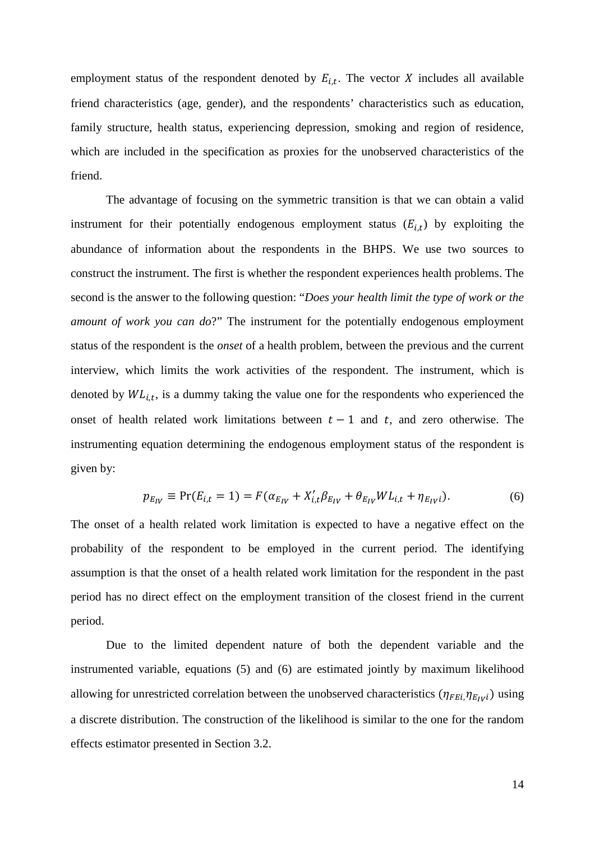employment status of the respondent denoted by  $E_{i,t}$ . The vector X includes all available friend characteristics (age, gender), and the respondents' characteristics such as education, family structure, health status, experiencing depression, smoking and region of residence, which are included in the specification as proxies for the unobserved characteristics of the friend.

The advantage of focusing on the symmetric transition is that we can obtain a valid instrument for their potentially endogenous employment status  $(E_{i,t})$  by exploiting the abundance of information about the respondents in the BHPS. We use two sources to construct the instrument. The first is whether the respondent experiences health problems. The second is the answer to the following question: "*Does your health limit the type of work or the amount of work you can do*?" The instrument for the potentially endogenous employment status of the respondent is the *onset* of a health problem, between the previous and the current interview, which limits the work activities of the respondent. The instrument, which is denoted by  $WL_{i,t}$ , is a dummy taking the value one for the respondents who experienced the onset of health related work limitations between  $t - 1$  and  $t$ , and zero otherwise. The instrumenting equation determining the endogenous employment status of the respondent is given by:

$$
p_{E_{IV}} \equiv \Pr(E_{i,t} = 1) = F(\alpha_{E_{IV}} + X'_{i,t} \beta_{E_{IV}} + \theta_{E_{IV}} WL_{i,t} + \eta_{E_{IV}i}).
$$
\n(6)

The onset of a health related work limitation is expected to have a negative effect on the probability of the respondent to be employed in the current period. The identifying assumption is that the onset of a health related work limitation for the respondent in the past period has no direct effect on the employment transition of the closest friend in the current period.

Due to the limited dependent nature of both the dependent variable and the instrumented variable, equations (5) and (6) are estimated jointly by maximum likelihood allowing for unrestricted correlation between the unobserved characteristics  $(\eta_{FEi, \eta_{E_{IV}}i})$  using a discrete distribution. The construction of the likelihood is similar to the one for the random effects estimator presented in Section 3.2.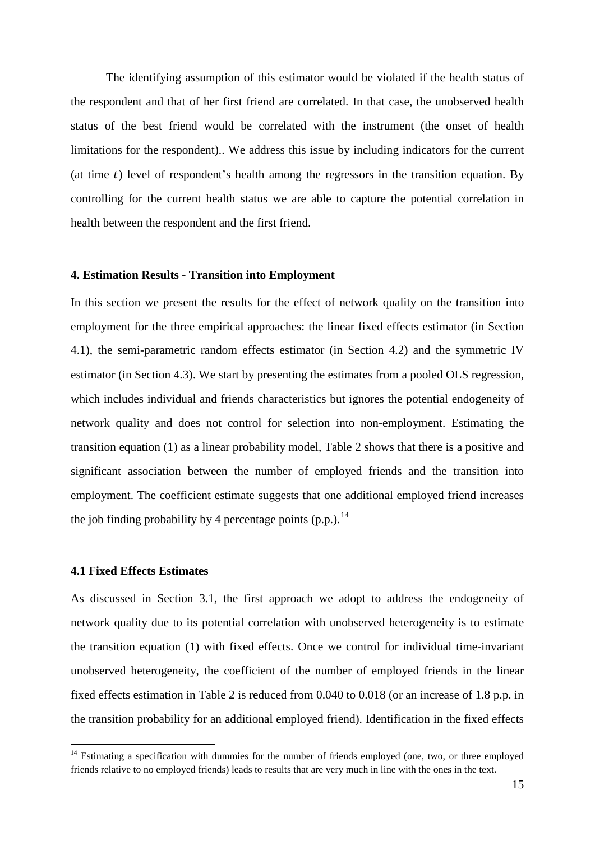The identifying assumption of this estimator would be violated if the health status of the respondent and that of her first friend are correlated. In that case, the unobserved health status of the best friend would be correlated with the instrument (the onset of health limitations for the respondent).. We address this issue by including indicators for the current (at time  $t$ ) level of respondent's health among the regressors in the transition equation. By controlling for the current health status we are able to capture the potential correlation in health between the respondent and the first friend.

### **4. Estimation Results - Transition into Employment**

In this section we present the results for the effect of network quality on the transition into employment for the three empirical approaches: the linear fixed effects estimator (in Section 4.1), the semi-parametric random effects estimator (in Section 4.2) and the symmetric IV estimator (in Section 4.3). We start by presenting the estimates from a pooled OLS regression, which includes individual and friends characteristics but ignores the potential endogeneity of network quality and does not control for selection into non-employment. Estimating the transition equation (1) as a linear probability model, Table 2 shows that there is a positive and significant association between the number of employed friends and the transition into employment. The coefficient estimate suggests that one additional employed friend increases the job finding probability by 4 percentage points  $(p.p.)$ .<sup>[14](#page-15-0)</sup>

#### **4.1 Fixed Effects Estimates**

As discussed in Section 3.1, the first approach we adopt to address the endogeneity of network quality due to its potential correlation with unobserved heterogeneity is to estimate the transition equation (1) with fixed effects. Once we control for individual time-invariant unobserved heterogeneity, the coefficient of the number of employed friends in the linear fixed effects estimation in Table 2 is reduced from 0.040 to 0.018 (or an increase of 1.8 p.p. in the transition probability for an additional employed friend). Identification in the fixed effects

<span id="page-15-0"></span><sup>&</sup>lt;sup>14</sup> Estimating a specification with dummies for the number of friends employed (one, two, or three employed friends relative to no employed friends) leads to results that are very much in line with the ones in the text.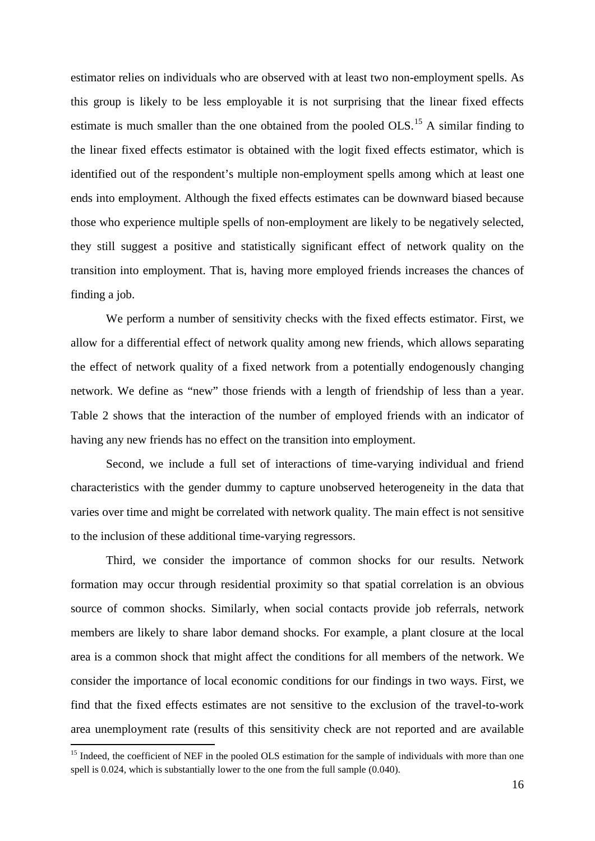estimator relies on individuals who are observed with at least two non-employment spells. As this group is likely to be less employable it is not surprising that the linear fixed effects estimate is much smaller than the one obtained from the pooled  $OLS$ <sup>[15](#page-16-0)</sup> A similar finding to the linear fixed effects estimator is obtained with the logit fixed effects estimator, which is identified out of the respondent's multiple non-employment spells among which at least one ends into employment. Although the fixed effects estimates can be downward biased because those who experience multiple spells of non-employment are likely to be negatively selected, they still suggest a positive and statistically significant effect of network quality on the transition into employment. That is, having more employed friends increases the chances of finding a job.

We perform a number of sensitivity checks with the fixed effects estimator. First, we allow for a differential effect of network quality among new friends, which allows separating the effect of network quality of a fixed network from a potentially endogenously changing network. We define as "new" those friends with a length of friendship of less than a year. Table 2 shows that the interaction of the number of employed friends with an indicator of having any new friends has no effect on the transition into employment.

Second, we include a full set of interactions of time-varying individual and friend characteristics with the gender dummy to capture unobserved heterogeneity in the data that varies over time and might be correlated with network quality. The main effect is not sensitive to the inclusion of these additional time-varying regressors.

Third, we consider the importance of common shocks for our results. Network formation may occur through residential proximity so that spatial correlation is an obvious source of common shocks. Similarly, when social contacts provide job referrals, network members are likely to share labor demand shocks. For example, a plant closure at the local area is a common shock that might affect the conditions for all members of the network. We consider the importance of local economic conditions for our findings in two ways. First, we find that the fixed effects estimates are not sensitive to the exclusion of the travel-to-work area unemployment rate (results of this sensitivity check are not reported and are available

<span id="page-16-0"></span><sup>&</sup>lt;sup>15</sup> Indeed, the coefficient of NEF in the pooled OLS estimation for the sample of individuals with more than one spell is 0.024, which is substantially lower to the one from the full sample (0.040).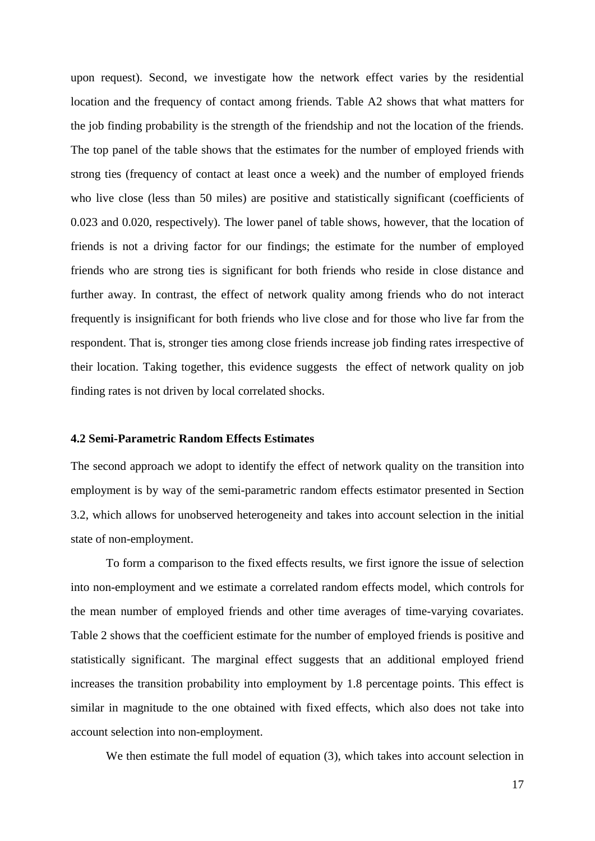upon request). Second, we investigate how the network effect varies by the residential location and the frequency of contact among friends. Table A2 shows that what matters for the job finding probability is the strength of the friendship and not the location of the friends. The top panel of the table shows that the estimates for the number of employed friends with strong ties (frequency of contact at least once a week) and the number of employed friends who live close (less than 50 miles) are positive and statistically significant (coefficients of 0.023 and 0.020, respectively). The lower panel of table shows, however, that the location of friends is not a driving factor for our findings; the estimate for the number of employed friends who are strong ties is significant for both friends who reside in close distance and further away. In contrast, the effect of network quality among friends who do not interact frequently is insignificant for both friends who live close and for those who live far from the respondent. That is, stronger ties among close friends increase job finding rates irrespective of their location. Taking together, this evidence suggests the effect of network quality on job finding rates is not driven by local correlated shocks.

#### **4.2 Semi-Parametric Random Effects Estimates**

The second approach we adopt to identify the effect of network quality on the transition into employment is by way of the semi-parametric random effects estimator presented in Section 3.2, which allows for unobserved heterogeneity and takes into account selection in the initial state of non-employment.

To form a comparison to the fixed effects results, we first ignore the issue of selection into non-employment and we estimate a correlated random effects model, which controls for the mean number of employed friends and other time averages of time-varying covariates. Table 2 shows that the coefficient estimate for the number of employed friends is positive and statistically significant. The marginal effect suggests that an additional employed friend increases the transition probability into employment by 1.8 percentage points. This effect is similar in magnitude to the one obtained with fixed effects, which also does not take into account selection into non-employment.

We then estimate the full model of equation (3), which takes into account selection in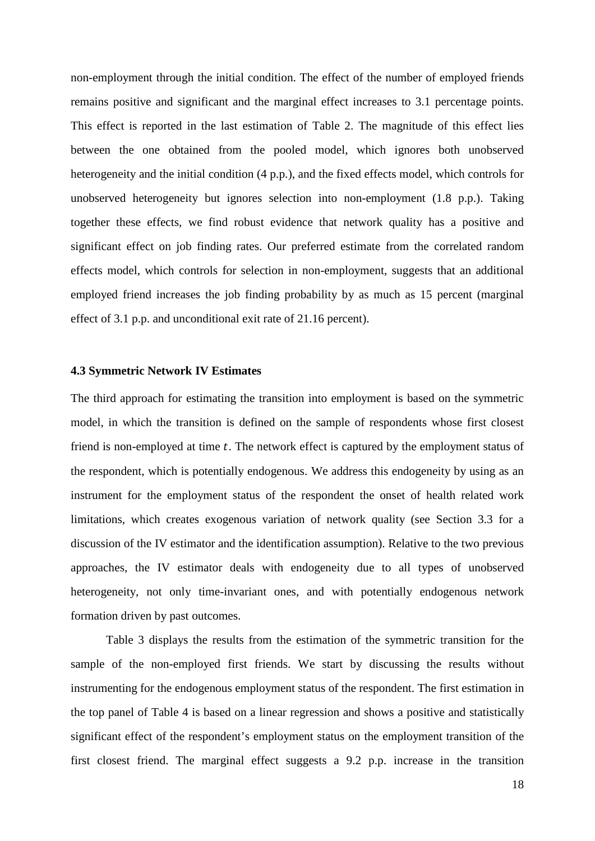non-employment through the initial condition. The effect of the number of employed friends remains positive and significant and the marginal effect increases to 3.1 percentage points. This effect is reported in the last estimation of Table 2. The magnitude of this effect lies between the one obtained from the pooled model, which ignores both unobserved heterogeneity and the initial condition (4 p.p.), and the fixed effects model, which controls for unobserved heterogeneity but ignores selection into non-employment (1.8 p.p.). Taking together these effects, we find robust evidence that network quality has a positive and significant effect on job finding rates. Our preferred estimate from the correlated random effects model, which controls for selection in non-employment, suggests that an additional employed friend increases the job finding probability by as much as 15 percent (marginal effect of 3.1 p.p. and unconditional exit rate of 21.16 percent).

### **4.3 Symmetric Network IV Estimates**

The third approach for estimating the transition into employment is based on the symmetric model, in which the transition is defined on the sample of respondents whose first closest friend is non-employed at time  $t$ . The network effect is captured by the employment status of the respondent, which is potentially endogenous. We address this endogeneity by using as an instrument for the employment status of the respondent the onset of health related work limitations, which creates exogenous variation of network quality (see Section 3.3 for a discussion of the IV estimator and the identification assumption). Relative to the two previous approaches, the IV estimator deals with endogeneity due to all types of unobserved heterogeneity, not only time-invariant ones, and with potentially endogenous network formation driven by past outcomes.

Table 3 displays the results from the estimation of the symmetric transition for the sample of the non-employed first friends. We start by discussing the results without instrumenting for the endogenous employment status of the respondent. The first estimation in the top panel of Table 4 is based on a linear regression and shows a positive and statistically significant effect of the respondent's employment status on the employment transition of the first closest friend. The marginal effect suggests a 9.2 p.p. increase in the transition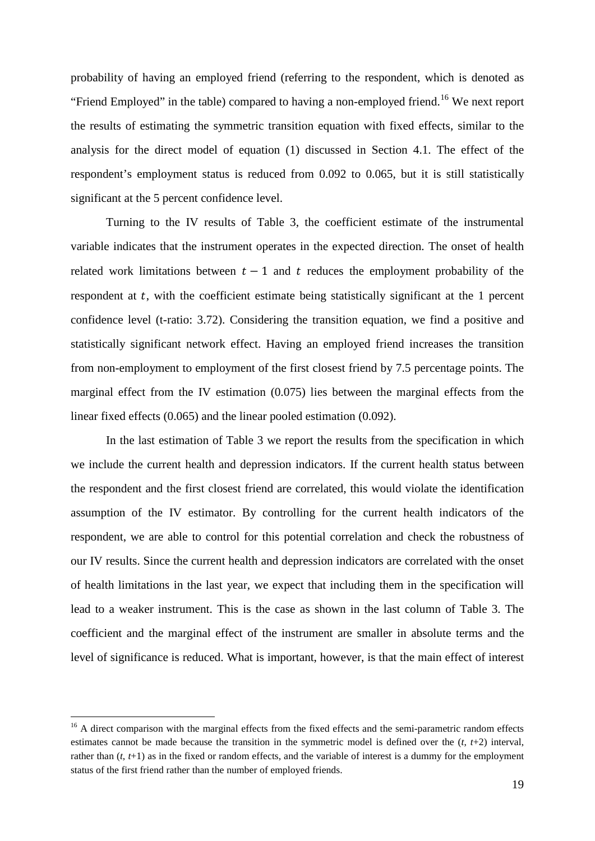probability of having an employed friend (referring to the respondent, which is denoted as "Friend Employed" in the table) compared to having a non-employed friend.<sup>[16](#page-19-0)</sup> We next report the results of estimating the symmetric transition equation with fixed effects, similar to the analysis for the direct model of equation (1) discussed in Section 4.1. The effect of the respondent's employment status is reduced from 0.092 to 0.065, but it is still statistically significant at the 5 percent confidence level.

Turning to the IV results of Table 3, the coefficient estimate of the instrumental variable indicates that the instrument operates in the expected direction. The onset of health related work limitations between  $t - 1$  and  $t$  reduces the employment probability of the respondent at  $t$ , with the coefficient estimate being statistically significant at the 1 percent confidence level (t-ratio: 3.72). Considering the transition equation, we find a positive and statistically significant network effect. Having an employed friend increases the transition from non-employment to employment of the first closest friend by 7.5 percentage points. The marginal effect from the IV estimation (0.075) lies between the marginal effects from the linear fixed effects (0.065) and the linear pooled estimation (0.092).

In the last estimation of Table 3 we report the results from the specification in which we include the current health and depression indicators. If the current health status between the respondent and the first closest friend are correlated, this would violate the identification assumption of the IV estimator. By controlling for the current health indicators of the respondent, we are able to control for this potential correlation and check the robustness of our IV results. Since the current health and depression indicators are correlated with the onset of health limitations in the last year, we expect that including them in the specification will lead to a weaker instrument. This is the case as shown in the last column of Table 3. The coefficient and the marginal effect of the instrument are smaller in absolute terms and the level of significance is reduced. What is important, however, is that the main effect of interest

<span id="page-19-0"></span><sup>&</sup>lt;sup>16</sup> A direct comparison with the marginal effects from the fixed effects and the semi-parametric random effects estimates cannot be made because the transition in the symmetric model is defined over the (*t*, *t*+2) interval, rather than (*t*, *t*+1) as in the fixed or random effects, and the variable of interest is a dummy for the employment status of the first friend rather than the number of employed friends.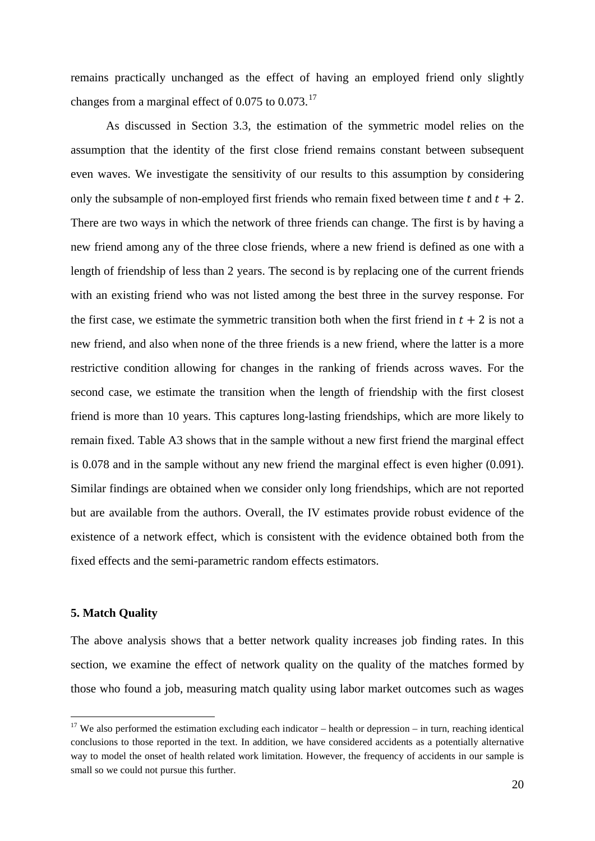remains practically unchanged as the effect of having an employed friend only slightly changes from a marginal effect of  $0.075$  to  $0.073$ .<sup>[17](#page-20-0)</sup>

As discussed in Section 3.3, the estimation of the symmetric model relies on the assumption that the identity of the first close friend remains constant between subsequent even waves. We investigate the sensitivity of our results to this assumption by considering only the subsample of non-employed first friends who remain fixed between time  $t$  and  $t + 2$ . There are two ways in which the network of three friends can change. The first is by having a new friend among any of the three close friends, where a new friend is defined as one with a length of friendship of less than 2 years. The second is by replacing one of the current friends with an existing friend who was not listed among the best three in the survey response. For the first case, we estimate the symmetric transition both when the first friend in  $t + 2$  is not a new friend, and also when none of the three friends is a new friend, where the latter is a more restrictive condition allowing for changes in the ranking of friends across waves. For the second case, we estimate the transition when the length of friendship with the first closest friend is more than 10 years. This captures long-lasting friendships, which are more likely to remain fixed. Table A3 shows that in the sample without a new first friend the marginal effect is 0.078 and in the sample without any new friend the marginal effect is even higher (0.091). Similar findings are obtained when we consider only long friendships, which are not reported but are available from the authors. Overall, the IV estimates provide robust evidence of the existence of a network effect, which is consistent with the evidence obtained both from the fixed effects and the semi-parametric random effects estimators.

#### **5. Match Quality**

The above analysis shows that a better network quality increases job finding rates. In this section, we examine the effect of network quality on the quality of the matches formed by those who found a job, measuring match quality using labor market outcomes such as wages

<span id="page-20-0"></span><sup>&</sup>lt;sup>17</sup> We also performed the estimation excluding each indicator – health or depression – in turn, reaching identical conclusions to those reported in the text. In addition, we have considered accidents as a potentially alternative way to model the onset of health related work limitation. However, the frequency of accidents in our sample is small so we could not pursue this further.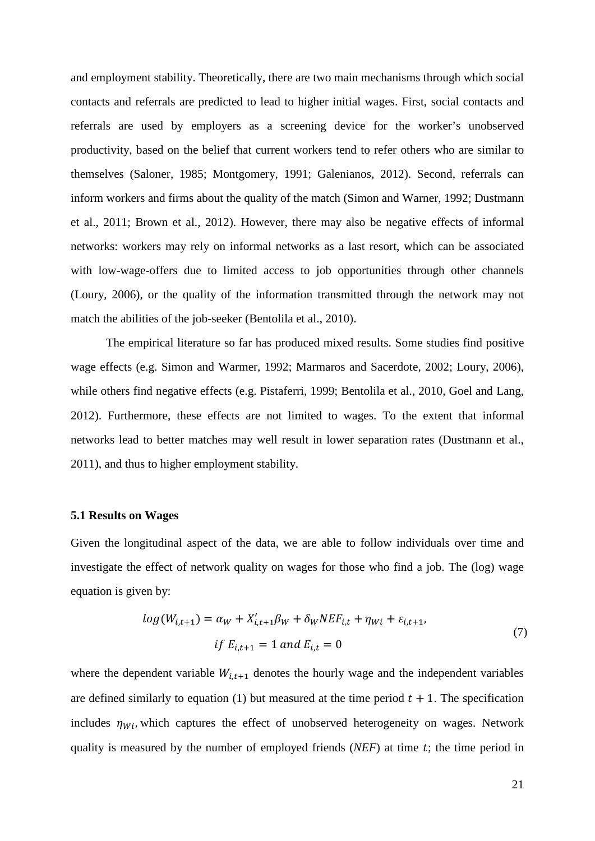and employment stability. Theoretically, there are two main mechanisms through which social contacts and referrals are predicted to lead to higher initial wages. First, social contacts and referrals are used by employers as a screening device for the worker's unobserved productivity, based on the belief that current workers tend to refer others who are similar to themselves (Saloner, 1985; Montgomery, 1991; Galenianos, 2012). Second, referrals can inform workers and firms about the quality of the match (Simon and Warner, 1992; Dustmann et al., 2011; Brown et al., 2012). However, there may also be negative effects of informal networks: workers may rely on informal networks as a last resort, which can be associated with low-wage-offers due to limited access to job opportunities through other channels (Loury, 2006), or the quality of the information transmitted through the network may not match the abilities of the job-seeker (Bentolila et al., 2010).

The empirical literature so far has produced mixed results. Some studies find positive wage effects (e.g. Simon and Warmer, 1992; Marmaros and Sacerdote, 2002; Loury, 2006), while others find negative effects (e.g. Pistaferri, 1999; Bentolila et al., 2010, Goel and Lang, 2012). Furthermore, these effects are not limited to wages. To the extent that informal networks lead to better matches may well result in lower separation rates (Dustmann et al., 2011), and thus to higher employment stability.

#### **5.1 Results on Wages**

Given the longitudinal aspect of the data, we are able to follow individuals over time and investigate the effect of network quality on wages for those who find a job. The (log) wage equation is given by:

$$
log(W_{i,t+1}) = \alpha_W + X'_{i,t+1}\beta_W + \delta_W NEF_{i,t} + \eta_{Wi} + \varepsilon_{i,t+1},
$$
  
\nif  $E_{i,t+1} = 1$  and  $E_{i,t} = 0$  (7)

where the dependent variable  $W_{i,t+1}$  denotes the hourly wage and the independent variables are defined similarly to equation (1) but measured at the time period  $t + 1$ . The specification includes  $\eta_{Wi}$ , which captures the effect of unobserved heterogeneity on wages. Network quality is measured by the number of employed friends  $(NEF)$  at time  $t$ ; the time period in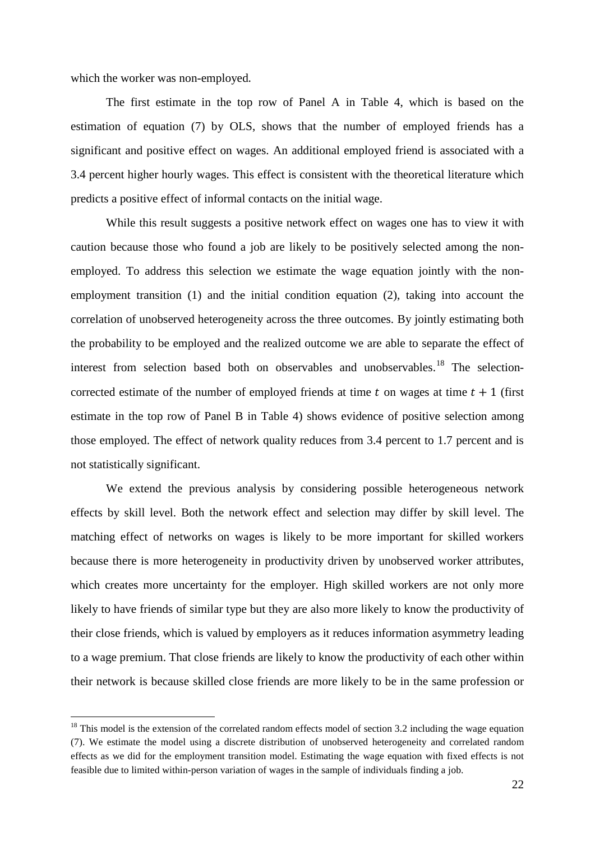which the worker was non-employed.

The first estimate in the top row of Panel A in Table 4, which is based on the estimation of equation (7) by OLS, shows that the number of employed friends has a significant and positive effect on wages. An additional employed friend is associated with a 3.4 percent higher hourly wages. This effect is consistent with the theoretical literature which predicts a positive effect of informal contacts on the initial wage.

While this result suggests a positive network effect on wages one has to view it with caution because those who found a job are likely to be positively selected among the nonemployed. To address this selection we estimate the wage equation jointly with the nonemployment transition (1) and the initial condition equation (2), taking into account the correlation of unobserved heterogeneity across the three outcomes. By jointly estimating both the probability to be employed and the realized outcome we are able to separate the effect of interest from selection based both on observables and unobservables.<sup>[18](#page-22-0)</sup> The selectioncorrected estimate of the number of employed friends at time  $t$  on wages at time  $t + 1$  (first estimate in the top row of Panel B in Table 4) shows evidence of positive selection among those employed. The effect of network quality reduces from 3.4 percent to 1.7 percent and is not statistically significant.

We extend the previous analysis by considering possible heterogeneous network effects by skill level. Both the network effect and selection may differ by skill level. The matching effect of networks on wages is likely to be more important for skilled workers because there is more heterogeneity in productivity driven by unobserved worker attributes, which creates more uncertainty for the employer. High skilled workers are not only more likely to have friends of similar type but they are also more likely to know the productivity of their close friends, which is valued by employers as it reduces information asymmetry leading to a wage premium. That close friends are likely to know the productivity of each other within their network is because skilled close friends are more likely to be in the same profession or

<span id="page-22-0"></span> $18$  This model is the extension of the correlated random effects model of section 3.2 including the wage equation (7). We estimate the model using a discrete distribution of unobserved heterogeneity and correlated random effects as we did for the employment transition model. Estimating the wage equation with fixed effects is not feasible due to limited within-person variation of wages in the sample of individuals finding a job.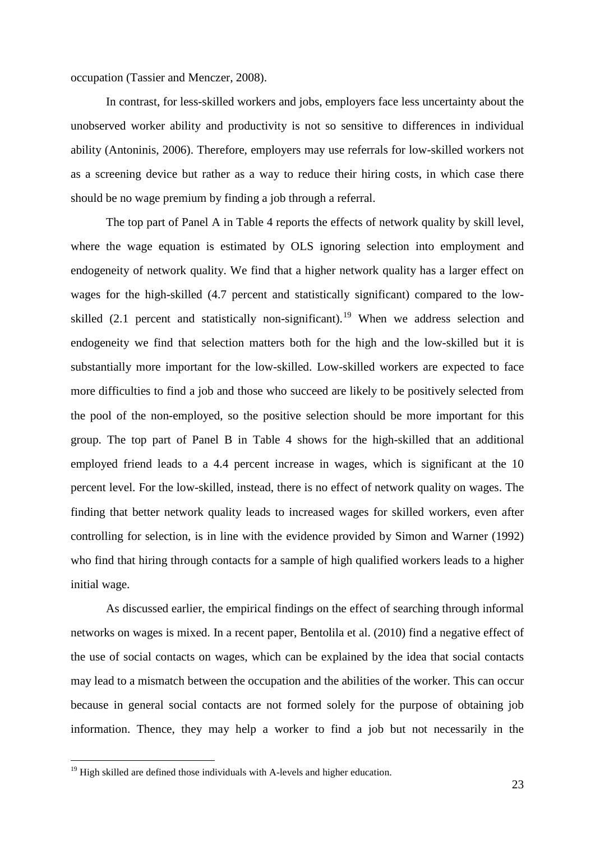occupation (Tassier and Menczer, 2008).

In contrast, for less-skilled workers and jobs, employers face less uncertainty about the unobserved worker ability and productivity is not so sensitive to differences in individual ability (Antoninis, 2006). Therefore, employers may use referrals for low-skilled workers not as a screening device but rather as a way to reduce their hiring costs, in which case there should be no wage premium by finding a job through a referral.

The top part of Panel A in Table 4 reports the effects of network quality by skill level, where the wage equation is estimated by OLS ignoring selection into employment and endogeneity of network quality. We find that a higher network quality has a larger effect on wages for the high-skilled (4.7 percent and statistically significant) compared to the lowskilled  $(2.1)$  percent and statistically non-significant).<sup>[19](#page-23-0)</sup> When we address selection and endogeneity we find that selection matters both for the high and the low-skilled but it is substantially more important for the low-skilled. Low-skilled workers are expected to face more difficulties to find a job and those who succeed are likely to be positively selected from the pool of the non-employed, so the positive selection should be more important for this group. The top part of Panel B in Table 4 shows for the high-skilled that an additional employed friend leads to a 4.4 percent increase in wages, which is significant at the 10 percent level. For the low-skilled, instead, there is no effect of network quality on wages. The finding that better network quality leads to increased wages for skilled workers, even after controlling for selection, is in line with the evidence provided by Simon and Warner (1992) who find that hiring through contacts for a sample of high qualified workers leads to a higher initial wage.

As discussed earlier, the empirical findings on the effect of searching through informal networks on wages is mixed. In a recent paper, Bentolila et al. (2010) find a negative effect of the use of social contacts on wages, which can be explained by the idea that social contacts may lead to a mismatch between the occupation and the abilities of the worker. This can occur because in general social contacts are not formed solely for the purpose of obtaining job information. Thence, they may help a worker to find a job but not necessarily in the

<span id="page-23-0"></span> $19$  High skilled are defined those individuals with A-levels and higher education.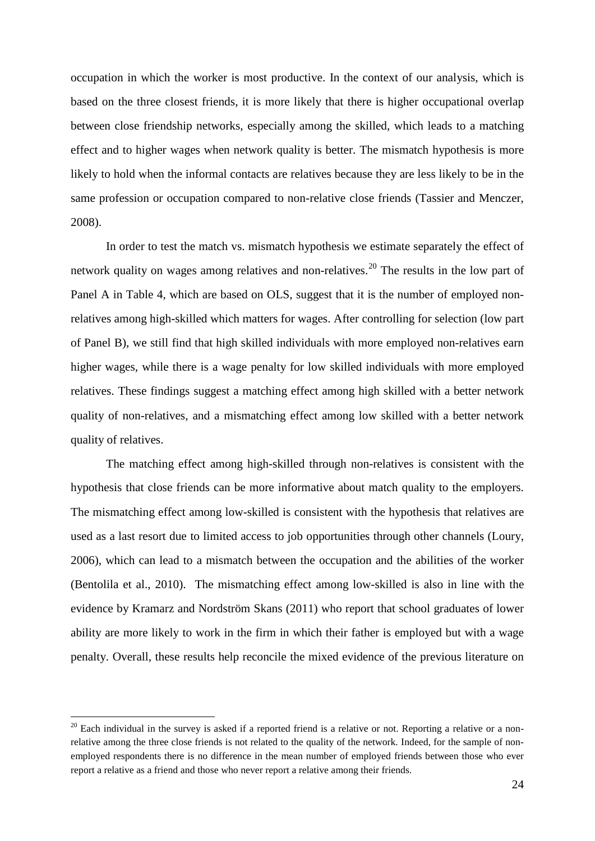occupation in which the worker is most productive. In the context of our analysis, which is based on the three closest friends, it is more likely that there is higher occupational overlap between close friendship networks, especially among the skilled, which leads to a matching effect and to higher wages when network quality is better. The mismatch hypothesis is more likely to hold when the informal contacts are relatives because they are less likely to be in the same profession or occupation compared to non-relative close friends (Tassier and Menczer, 2008).

In order to test the match vs. mismatch hypothesis we estimate separately the effect of network quality on wages among relatives and non-relatives.<sup>[20](#page-24-0)</sup> The results in the low part of Panel A in Table 4, which are based on OLS, suggest that it is the number of employed nonrelatives among high-skilled which matters for wages. After controlling for selection (low part of Panel B), we still find that high skilled individuals with more employed non-relatives earn higher wages, while there is a wage penalty for low skilled individuals with more employed relatives. These findings suggest a matching effect among high skilled with a better network quality of non-relatives, and a mismatching effect among low skilled with a better network quality of relatives.

The matching effect among high-skilled through non-relatives is consistent with the hypothesis that close friends can be more informative about match quality to the employers. The mismatching effect among low-skilled is consistent with the hypothesis that relatives are used as a last resort due to limited access to job opportunities through other channels (Loury, 2006), which can lead to a mismatch between the occupation and the abilities of the worker (Bentolila et al., 2010). The mismatching effect among low-skilled is also in line with the evidence by Kramarz and Nordström Skans (2011) who report that school graduates of lower ability are more likely to work in the firm in which their father is employed but with a wage penalty. Overall, these results help reconcile the mixed evidence of the previous literature on

<span id="page-24-0"></span> $20$  Each individual in the survey is asked if a reported friend is a relative or not. Reporting a relative or a nonrelative among the three close friends is not related to the quality of the network. Indeed, for the sample of nonemployed respondents there is no difference in the mean number of employed friends between those who ever report a relative as a friend and those who never report a relative among their friends.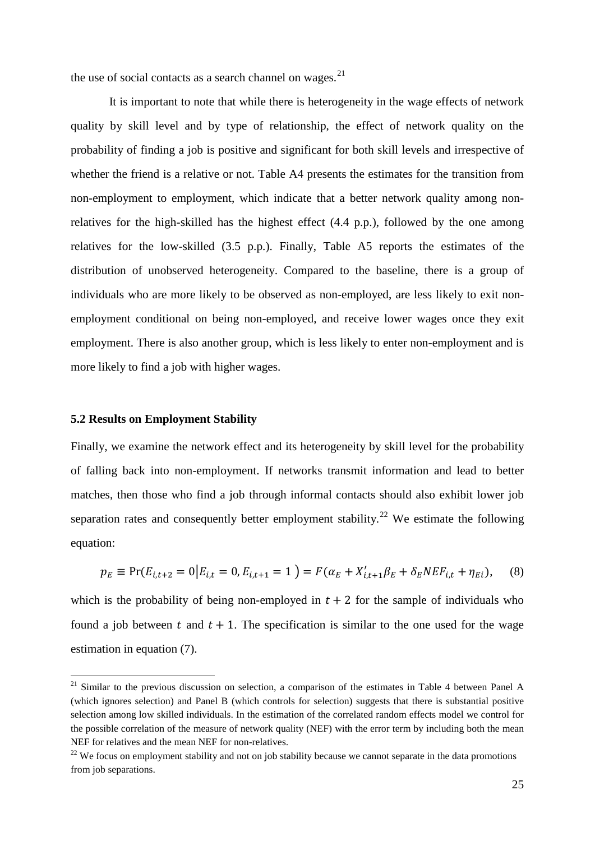the use of social contacts as a search channel on wages.<sup>[21](#page-25-0)</sup>

It is important to note that while there is heterogeneity in the wage effects of network quality by skill level and by type of relationship, the effect of network quality on the probability of finding a job is positive and significant for both skill levels and irrespective of whether the friend is a relative or not. Table A4 presents the estimates for the transition from non-employment to employment, which indicate that a better network quality among nonrelatives for the high-skilled has the highest effect (4.4 p.p.), followed by the one among relatives for the low-skilled (3.5 p.p.). Finally, Table A5 reports the estimates of the distribution of unobserved heterogeneity. Compared to the baseline, there is a group of individuals who are more likely to be observed as non-employed, are less likely to exit nonemployment conditional on being non-employed, and receive lower wages once they exit employment. There is also another group, which is less likely to enter non-employment and is more likely to find a job with higher wages.

#### **5.2 Results on Employment Stability**

Finally, we examine the network effect and its heterogeneity by skill level for the probability of falling back into non-employment. If networks transmit information and lead to better matches, then those who find a job through informal contacts should also exhibit lower job separation rates and consequently better employment stability.<sup>[22](#page-25-1)</sup> We estimate the following equation:

$$
p_E \equiv \Pr(E_{i,t+2} = 0 | E_{i,t} = 0, E_{i,t+1} = 1) = F(\alpha_E + X'_{i,t+1} \beta_E + \delta_E N E F_{i,t} + \eta_{Ei}), \quad (8)
$$

which is the probability of being non-employed in  $t + 2$  for the sample of individuals who found a job between t and  $t + 1$ . The specification is similar to the one used for the wage estimation in equation (7).

<span id="page-25-0"></span> $21$  Similar to the previous discussion on selection, a comparison of the estimates in Table 4 between Panel A (which ignores selection) and Panel B (which controls for selection) suggests that there is substantial positive selection among low skilled individuals. In the estimation of the correlated random effects model we control for the possible correlation of the measure of network quality (NEF) with the error term by including both the mean NEF for relatives and the mean NEF for non-relatives.

<span id="page-25-1"></span><sup>&</sup>lt;sup>22</sup> We focus on employment stability and not on job stability because we cannot separate in the data promotions from job separations.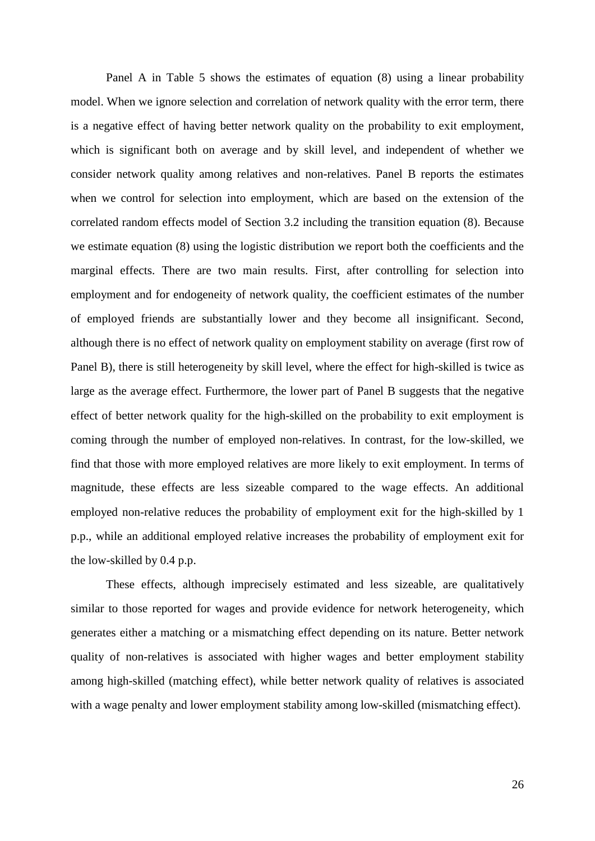Panel A in Table 5 shows the estimates of equation (8) using a linear probability model. When we ignore selection and correlation of network quality with the error term, there is a negative effect of having better network quality on the probability to exit employment, which is significant both on average and by skill level, and independent of whether we consider network quality among relatives and non-relatives. Panel B reports the estimates when we control for selection into employment, which are based on the extension of the correlated random effects model of Section 3.2 including the transition equation (8). Because we estimate equation (8) using the logistic distribution we report both the coefficients and the marginal effects. There are two main results. First, after controlling for selection into employment and for endogeneity of network quality, the coefficient estimates of the number of employed friends are substantially lower and they become all insignificant. Second, although there is no effect of network quality on employment stability on average (first row of Panel B), there is still heterogeneity by skill level, where the effect for high-skilled is twice as large as the average effect. Furthermore, the lower part of Panel B suggests that the negative effect of better network quality for the high-skilled on the probability to exit employment is coming through the number of employed non-relatives. In contrast, for the low-skilled, we find that those with more employed relatives are more likely to exit employment. In terms of magnitude, these effects are less sizeable compared to the wage effects. An additional employed non-relative reduces the probability of employment exit for the high-skilled by 1 p.p., while an additional employed relative increases the probability of employment exit for the low-skilled by 0.4 p.p.

These effects, although imprecisely estimated and less sizeable, are qualitatively similar to those reported for wages and provide evidence for network heterogeneity, which generates either a matching or a mismatching effect depending on its nature. Better network quality of non-relatives is associated with higher wages and better employment stability among high-skilled (matching effect), while better network quality of relatives is associated with a wage penalty and lower employment stability among low-skilled (mismatching effect).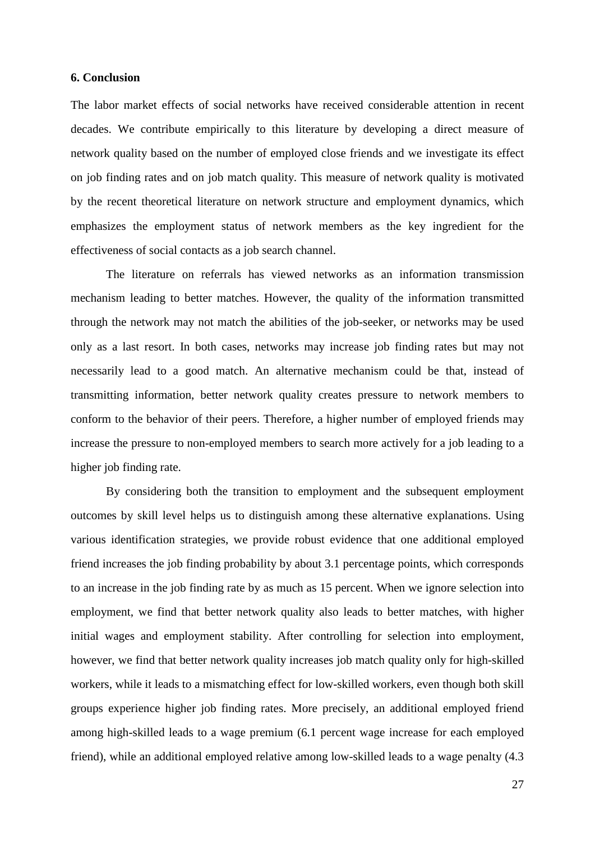## **6. Conclusion**

The labor market effects of social networks have received considerable attention in recent decades. We contribute empirically to this literature by developing a direct measure of network quality based on the number of employed close friends and we investigate its effect on job finding rates and on job match quality. This measure of network quality is motivated by the recent theoretical literature on network structure and employment dynamics, which emphasizes the employment status of network members as the key ingredient for the effectiveness of social contacts as a job search channel.

The literature on referrals has viewed networks as an information transmission mechanism leading to better matches. However, the quality of the information transmitted through the network may not match the abilities of the job-seeker, or networks may be used only as a last resort. In both cases, networks may increase job finding rates but may not necessarily lead to a good match. An alternative mechanism could be that, instead of transmitting information, better network quality creates pressure to network members to conform to the behavior of their peers. Therefore, a higher number of employed friends may increase the pressure to non-employed members to search more actively for a job leading to a higher job finding rate.

By considering both the transition to employment and the subsequent employment outcomes by skill level helps us to distinguish among these alternative explanations. Using various identification strategies, we provide robust evidence that one additional employed friend increases the job finding probability by about 3.1 percentage points, which corresponds to an increase in the job finding rate by as much as 15 percent. When we ignore selection into employment, we find that better network quality also leads to better matches, with higher initial wages and employment stability. After controlling for selection into employment, however, we find that better network quality increases job match quality only for high-skilled workers, while it leads to a mismatching effect for low-skilled workers, even though both skill groups experience higher job finding rates. More precisely, an additional employed friend among high-skilled leads to a wage premium (6.1 percent wage increase for each employed friend), while an additional employed relative among low-skilled leads to a wage penalty (4.3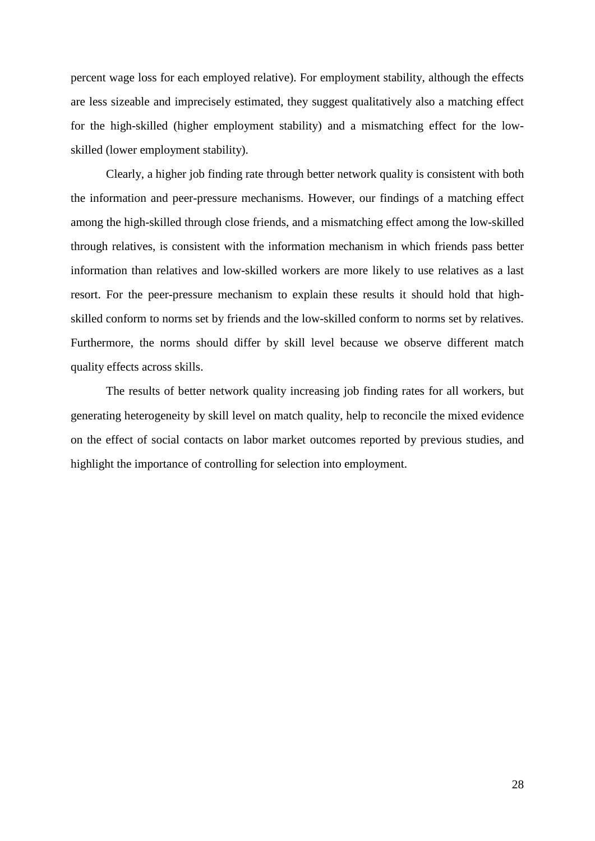percent wage loss for each employed relative). For employment stability, although the effects are less sizeable and imprecisely estimated, they suggest qualitatively also a matching effect for the high-skilled (higher employment stability) and a mismatching effect for the lowskilled (lower employment stability).

Clearly, a higher job finding rate through better network quality is consistent with both the information and peer-pressure mechanisms. However, our findings of a matching effect among the high-skilled through close friends, and a mismatching effect among the low-skilled through relatives, is consistent with the information mechanism in which friends pass better information than relatives and low-skilled workers are more likely to use relatives as a last resort. For the peer-pressure mechanism to explain these results it should hold that highskilled conform to norms set by friends and the low-skilled conform to norms set by relatives. Furthermore, the norms should differ by skill level because we observe different match quality effects across skills.

The results of better network quality increasing job finding rates for all workers, but generating heterogeneity by skill level on match quality, help to reconcile the mixed evidence on the effect of social contacts on labor market outcomes reported by previous studies, and highlight the importance of controlling for selection into employment.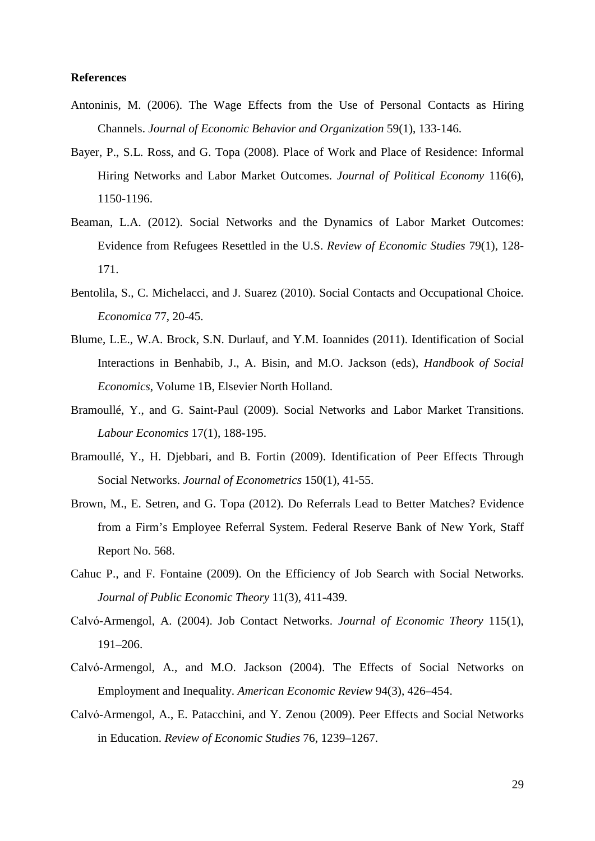## **References**

- Antoninis, M. (2006). The Wage Effects from the Use of Personal Contacts as Hiring Channels. *Journal of Economic Behavior and Organization* 59(1), 133-146.
- Bayer, P., S.L. Ross, and G. Topa (2008). Place of Work and Place of Residence: Informal Hiring Networks and Labor Market Outcomes. *Journal of Political Economy* 116(6), 1150-1196.
- Beaman, L.A. (2012). Social Networks and the Dynamics of Labor Market Outcomes: Evidence from Refugees Resettled in the U.S. *Review of Economic Studies* 79(1), 128- 171.
- Bentolila, S., C. Michelacci, and J. Suarez (2010). Social Contacts and Occupational Choice. *Economica* 77, 20-45.
- Blume, L.E., W.A. Brock, S.N. Durlauf, and Y.M. Ioannides (2011). Identification of Social Interactions in Benhabib, J., A. Bisin, and M.O. Jackson (eds), *Handbook of Social Economics*, Volume 1B, Elsevier North Holland.
- Bramoullé, Y., and G. Saint-Paul (2009). Social Networks and Labor Market Transitions. *Labour Economics* 17(1), 188-195.
- Bramoullé, Y., H. Diebbari, and B. Fortin (2009). Identification of Peer Effects Through Social Networks. *Journal of Econometrics* 150(1), 41-55.
- Brown, M., E. Setren, and G. Topa (2012). Do Referrals Lead to Better Matches? Evidence from a Firm's Employee Referral System. Federal Reserve Bank of New York, Staff Report No. 568.
- Cahuc P., and F. Fontaine (2009). On the Efficiency of Job Search with Social Networks. *Journal of Public Economic Theory* 11(3), 411-439.
- Calvό-Armengol, A. (2004). Job Contact Networks. *Journal of Economic Theory* 115(1), 191–206.
- Calvό-Armengol, A., and M.O. Jackson (2004). The Effects of Social Networks on Employment and Inequality. *American Economic Review* 94(3), 426–454.
- Calvό-Armengol, A., E. Patacchini, and Y. Zenou (2009). Peer Effects and Social Networks in Education. *Review of Economic Studies* 76, 1239–1267.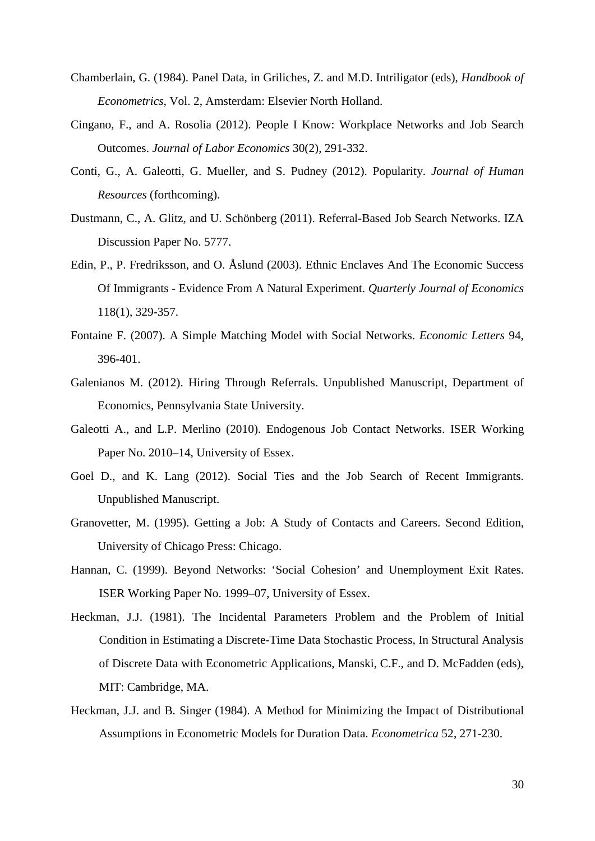- Chamberlain, G. (1984). Panel Data, in Griliches, Z. and M.D. Intriligator (eds), *Handbook of Econometrics*, Vol. 2, Amsterdam: Elsevier North Holland.
- Cingano, F., and A. Rosolia (2012). People I Know: Workplace Networks and Job Search Outcomes. *Journal of Labor Economics* 30(2), 291-332.
- Conti, G., A. Galeotti, G. Mueller, and S. Pudney (2012). Popularity. *Journal of Human Resources* (forthcoming).
- Dustmann, C., A. Glitz, and U. Schönberg (2011). Referral-Based Job Search Networks. IZA Discussion Paper No. 5777.
- Edin, P., P. Fredriksson, and O. Åslund (2003). Ethnic Enclaves And The Economic Success Of Immigrants - Evidence From A Natural Experiment. *Quarterly Journal of Economics* 118(1), 329-357.
- Fontaine F. (2007). A Simple Matching Model with Social Networks. *Economic Letters* 94, 396-401.
- Galenianos M. (2012). Hiring Through Referrals. Unpublished Manuscript, Department of Economics, Pennsylvania State University.
- Galeotti A., and L.P. Merlino (2010). Endogenous Job Contact Networks. ISER Working Paper No. 2010–14, University of Essex.
- Goel D., and K. Lang (2012). Social Ties and the Job Search of Recent Immigrants. Unpublished Manuscript.
- Granovetter, M. (1995). Getting a Job: A Study of Contacts and Careers. Second Edition, University of Chicago Press: Chicago.
- Hannan, C. (1999). Beyond Networks: 'Social Cohesion' and Unemployment Exit Rates. ISER Working Paper No. 1999–07, University of Essex.
- Heckman, J.J. (1981). The Incidental Parameters Problem and the Problem of Initial Condition in Estimating a Discrete-Time Data Stochastic Process, In Structural Analysis of Discrete Data with Econometric Applications, Manski, C.F., and D. McFadden (eds), MIT: Cambridge, MA.
- Heckman, J.J. and B. Singer (1984). A Method for Minimizing the Impact of Distributional Assumptions in Econometric Models for Duration Data. *Econometrica* 52, 271-230.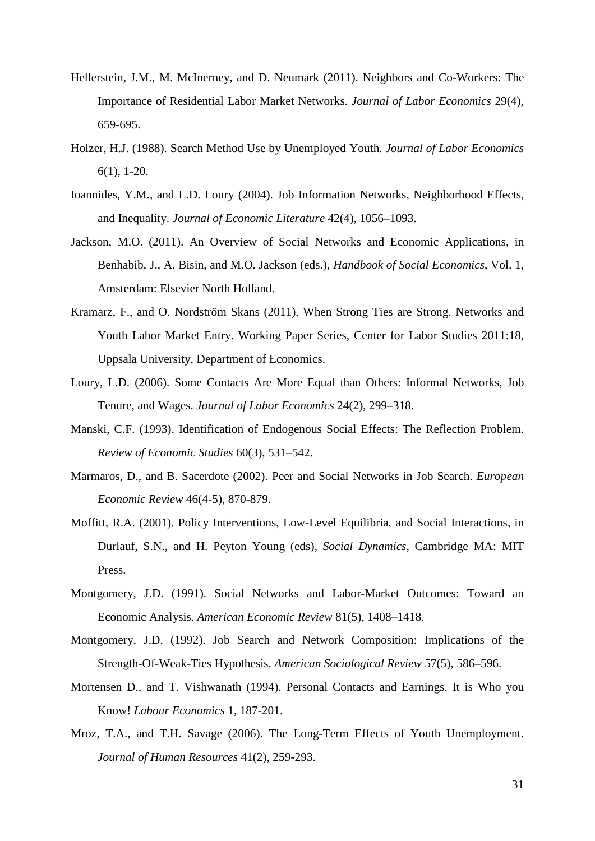- Hellerstein, J.M., M. McInerney, and D. Neumark (2011). Neighbors and Co-Workers: The Importance of Residential Labor Market Networks. *Journal of Labor Economics* 29(4), 659-695.
- Holzer, H.J. (1988). Search Method Use by Unemployed Youth. *Journal of Labor Economics* 6(1), 1-20.
- Ioannides, Y.M., and L.D. Loury (2004). Job Information Networks, Neighborhood Effects, and Inequality. *Journal of Economic Literature* 42(4), 1056–1093.
- Jackson, M.O. (2011). An Overview of Social Networks and Economic Applications, in Benhabib, J., A. Bisin, and M.O. Jackson (eds.), *Handbook of Social Economics*, Vol. 1, Amsterdam: Elsevier North Holland.
- Kramarz, F., and O. Nordström Skans (2011). When Strong Ties are Strong. Networks and Youth Labor Market Entry. Working Paper Series, Center for Labor Studies 2011:18, Uppsala University, Department of Economics.
- Loury, L.D. (2006). Some Contacts Are More Equal than Others: Informal Networks, Job Tenure, and Wages. *Journal of Labor Economics* 24(2), 299–318.
- Manski, C.F. (1993). Identification of Endogenous Social Effects: The Reflection Problem. *Review of Economic Studies* 60(3), 531–542.
- Marmaros, D., and B. Sacerdote (2002). Peer and Social Networks in Job Search. *European Economic Review* 46(4-5), 870-879.
- Moffitt, R.A. (2001). Policy Interventions, Low-Level Equilibria, and Social Interactions, in Durlauf, S.N., and H. Peyton Young (eds), *Social Dynamics*, Cambridge MA: MIT Press.
- Montgomery, J.D. (1991). Social Networks and Labor-Market Outcomes: Toward an Economic Analysis. *American Economic Review* 81(5), 1408–1418.
- Montgomery, J.D. (1992). Job Search and Network Composition: Implications of the Strength-Of-Weak-Ties Hypothesis. *American Sociological Review* 57(5), 586–596.
- Mortensen D., and T. Vishwanath (1994). Personal Contacts and Earnings. It is Who you Know! *Labour Economics* 1, 187-201.
- Mroz, T.A., and T.H. Savage (2006). The Long-Term Effects of Youth Unemployment. *Journal of Human Resources* 41(2), 259-293.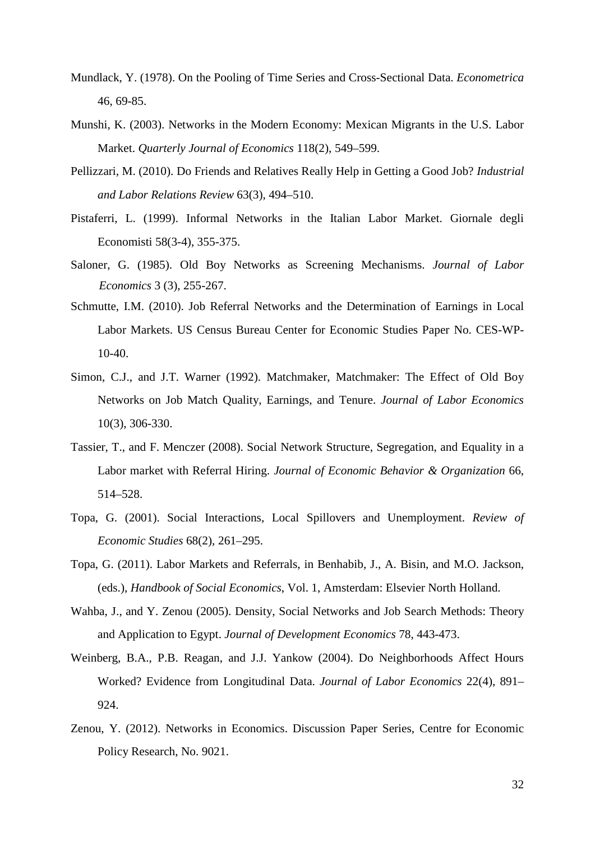- Mundlack, Y. (1978). On the Pooling of Time Series and Cross-Sectional Data. *Econometrica* 46, 69-85.
- Munshi, K. (2003). Networks in the Modern Economy: Mexican Migrants in the U.S. Labor Market. *Quarterly Journal of Economics* 118(2), 549–599.
- Pellizzari, M. (2010). Do Friends and Relatives Really Help in Getting a Good Job? *Industrial and Labor Relations Review* 63(3), 494–510.
- Pistaferri, L. (1999). Informal Networks in the Italian Labor Market. Giornale degli Economisti 58(3-4), 355-375.
- Saloner, G. (1985). Old Boy Networks as Screening Mechanisms. *Journal of Labor Economics* 3 (3), 255-267.
- Schmutte, I.M. (2010). Job Referral Networks and the Determination of Earnings in Local Labor Markets. US Census Bureau Center for Economic Studies Paper No. CES-WP- $10-40.$
- Simon, C.J., and J.T. Warner (1992). Matchmaker, Matchmaker: The Effect of Old Boy Networks on Job Match Quality, Earnings, and Tenure. *Journal of Labor Economics* 10(3), 306-330.
- Tassier, T., and F. Menczer (2008). Social Network Structure, Segregation, and Equality in a Labor market with Referral Hiring. *Journal of Economic Behavior & Organization* 66, 514–528.
- Topa, G. (2001). Social Interactions, Local Spillovers and Unemployment. *Review of Economic Studies* 68(2), 261–295.
- Topa, G. (2011). Labor Markets and Referrals, in Benhabib, J., A. Bisin, and M.O. Jackson, (eds.), *Handbook of Social Economics*, Vol. 1, Amsterdam: Elsevier North Holland.
- Wahba, J., and Y. Zenou (2005). Density, Social Networks and Job Search Methods: Theory and Application to Egypt. *Journal of Development Economics* 78, 443-473.
- Weinberg, B.A., P.B. Reagan, and J.J. Yankow (2004). Do Neighborhoods Affect Hours Worked? Evidence from Longitudinal Data. *Journal of Labor Economics* 22(4), 891– 924.
- Zenou, Y. (2012). Networks in Economics. Discussion Paper Series, Centre for Economic Policy Research, No. 9021.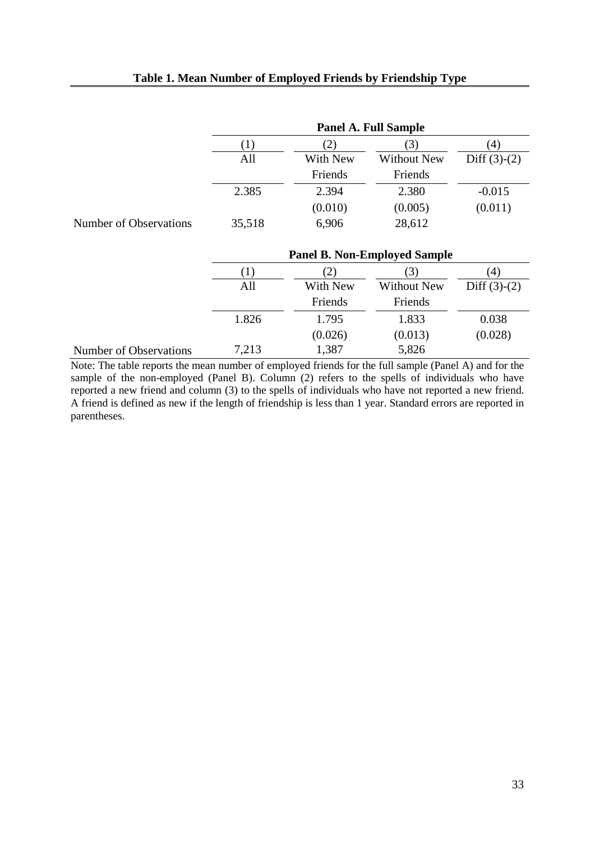|                        | <b>Panel A. Full Sample</b> |          |                    |                |  |  |  |
|------------------------|-----------------------------|----------|--------------------|----------------|--|--|--|
|                        |                             | 2)       | $\mathcal{L}$      | (4)            |  |  |  |
|                        | All                         | With New | <b>Without New</b> | Diff $(3)-(2)$ |  |  |  |
|                        |                             | Friends  | Friends            |                |  |  |  |
|                        | 2.385                       | 2.394    | 2.380              | $-0.015$       |  |  |  |
|                        |                             | (0.010)  | (0.005)            | (0.011)        |  |  |  |
| Number of Observations | 35,518                      | 6,906    | 28,612             |                |  |  |  |

|                        | <b>Panel B. Non-Employed Sample</b> |                   |                    |                |  |  |  |
|------------------------|-------------------------------------|-------------------|--------------------|----------------|--|--|--|
|                        | Π,                                  | $\left( 2\right)$ | $\mathfrak{I}$     | (4)            |  |  |  |
|                        | All                                 | With New          | <b>Without New</b> | Diff $(3)-(2)$ |  |  |  |
|                        |                                     | Friends           | Friends            |                |  |  |  |
|                        | 1.826                               | 1.795             | 1.833              | 0.038          |  |  |  |
|                        |                                     | (0.026)           | (0.013)            | (0.028)        |  |  |  |
| Number of Observations | 7,213                               | 1,387             | 5,826              |                |  |  |  |

Note: The table reports the mean number of employed friends for the full sample (Panel A) and for the sample of the non-employed (Panel B). Column (2) refers to the spells of individuals who have reported a new friend and column (3) to the spells of individuals who have not reported a new friend. A friend is defined as new if the length of friendship is less than 1 year. Standard errors are reported in parentheses.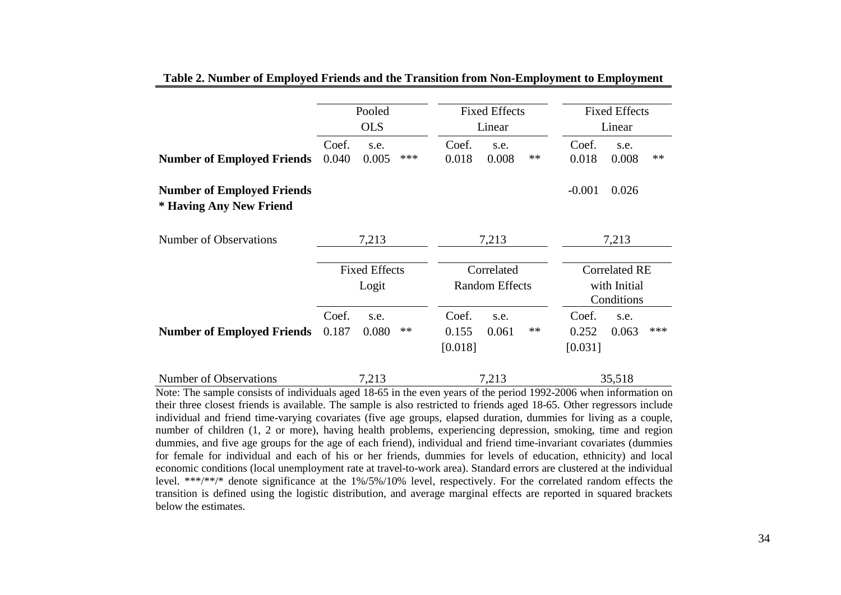|                                                              |                               | Pooled        |                                     |                           | <b>Fixed Effects</b> |                                                    | <b>Fixed Effects</b>      |               |      |
|--------------------------------------------------------------|-------------------------------|---------------|-------------------------------------|---------------------------|----------------------|----------------------------------------------------|---------------------------|---------------|------|
|                                                              |                               | <b>OLS</b>    |                                     |                           | Linear               |                                                    | Linear                    |               |      |
| <b>Number of Employed Friends</b>                            | Coef.<br>0.040                | s.e.<br>0.005 | ***                                 | Coef.<br>0.018            | s.e.<br>0.008        | **                                                 | Coef.<br>0.018            | s.e.<br>0.008 | $**$ |
| <b>Number of Employed Friends</b><br>* Having Any New Friend |                               |               |                                     |                           |                      |                                                    | $-0.001$                  | 0.026         |      |
| Number of Observations                                       | 7,213                         |               | 7,213                               |                           | 7,213                |                                                    |                           |               |      |
|                                                              | <b>Fixed Effects</b><br>Logit |               | Correlated<br><b>Random Effects</b> |                           |                      | <b>Correlated RE</b><br>with Initial<br>Conditions |                           |               |      |
| <b>Number of Employed Friends</b>                            | Coef.<br>0.187                | s.e.<br>0.080 | **                                  | Coef.<br>0.155<br>[0.018] | s.e.<br>0.061        | $***$                                              | Coef.<br>0.252<br>[0.031] | s.e.<br>0.063 | ***  |
| Number of Observations                                       |                               | 7,213         |                                     |                           | 7,213                |                                                    |                           | 35,518        |      |

**Table 2. Number of Employed Friends and the Transition from Non-Employment to Employment**

Note: The sample consists of individuals aged 18-65 in the even years of the period 1992-2006 when information on their three closest friends is available. The sample is also restricted to friends aged 18-65. Other regressors include individual and friend time-varying covariates (five age groups, elapsed duration, dummies for living as a couple, number of children (1, 2 or more), having health problems, experiencing depression, smoking, time and region dummies, and five age groups for the age of each friend), individual and friend time-invariant covariates (dummies for female for individual and each of his or her friends, dummies for levels of education, ethnicity) and local economic conditions (local unemployment rate at travel-to-work area). Standard errors are clustered at the individual level. \*\*\*/\*\*/\* denote significance at the 1%/5%/10% level, respectively. For the correlated random effects the transition is defined using the logistic distribution, and average marginal effects are reported in squared brackets below the estimates.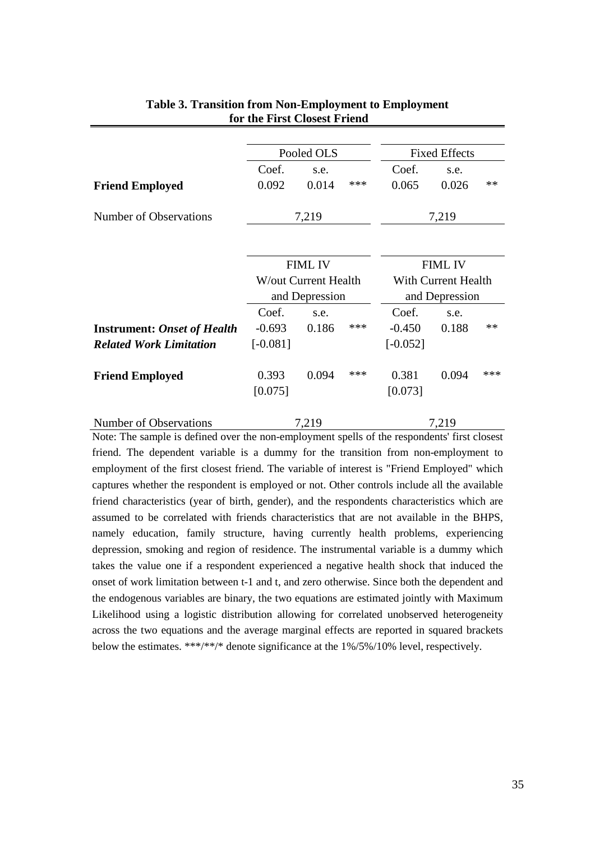|                                    | Pooled OLS     |                      |     | <b>Fixed Effects</b>                  |       |      |
|------------------------------------|----------------|----------------------|-----|---------------------------------------|-------|------|
|                                    | Coef.          | s.e.                 |     | Coef.                                 | s.e.  |      |
| <b>Friend Employed</b>             | 0.092          | 0.014                | *** | 0.065                                 | 0.026 | $**$ |
| Number of Observations             |                | 7,219                |     | 7,219                                 |       |      |
|                                    |                |                      |     |                                       |       |      |
|                                    | <b>FIML IV</b> |                      |     | <b>FIML IV</b>                        |       |      |
|                                    |                | W/out Current Health |     | With Current Health<br>and Depression |       |      |
|                                    |                | and Depression       |     |                                       |       |      |
|                                    | Coef.          | s.e.                 |     | Coef.                                 | s.e.  |      |
| <b>Instrument: Onset of Health</b> | $-0.693$       | 0.186                | *** | $-0.450$                              | 0.188 | $**$ |
| <b>Related Work Limitation</b>     | $[-0.081]$     |                      |     | $[-0.052]$                            |       |      |
| <b>Friend Employed</b>             | 0.393          | 0.094                | *** | 0.381                                 | 0.094 | ***  |
|                                    | [0.075]        |                      |     | [0.073]                               |       |      |
| Number of Observations             |                | 7.219                |     |                                       | 7.219 |      |

## **Table 3. Transition from Non-Employment to Employment for the First Closest Friend**

Note: The sample is defined over the non-employment spells of the respondents' first closest friend. The dependent variable is a dummy for the transition from non-employment to employment of the first closest friend. The variable of interest is "Friend Employed" which captures whether the respondent is employed or not. Other controls include all the available friend characteristics (year of birth, gender), and the respondents characteristics which are assumed to be correlated with friends characteristics that are not available in the BHPS, namely education, family structure, having currently health problems, experiencing depression, smoking and region of residence. The instrumental variable is a dummy which takes the value one if a respondent experienced a negative health shock that induced the onset of work limitation between t-1 and t, and zero otherwise. Since both the dependent and the endogenous variables are binary, the two equations are estimated jointly with Maximum Likelihood using a logistic distribution allowing for correlated unobserved heterogeneity across the two equations and the average marginal effects are reported in squared brackets below the estimates. \*\*\*/\*\*/\* denote significance at the 1%/5%/10% level, respectively.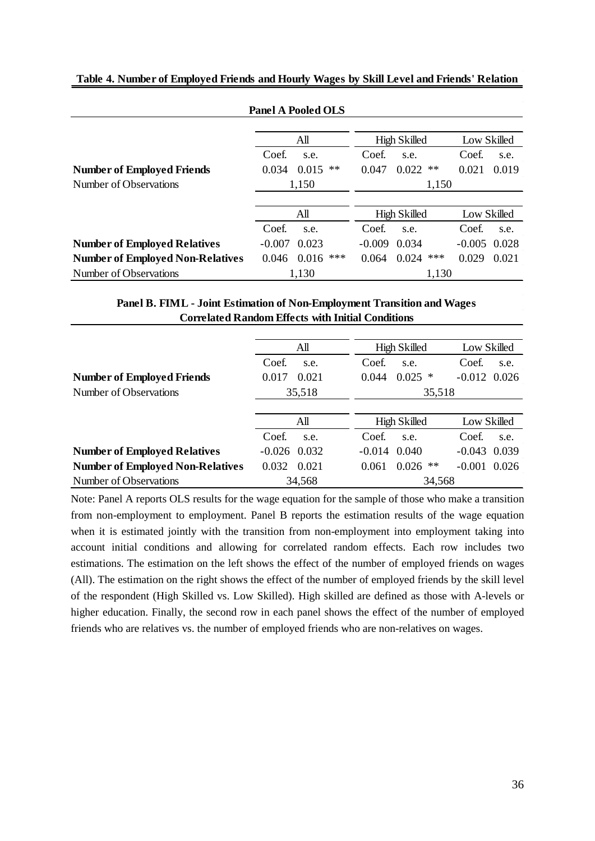| <b>Panel A Pooled OLS</b>               |                         |                              |                   |  |  |  |  |  |
|-----------------------------------------|-------------------------|------------------------------|-------------------|--|--|--|--|--|
|                                         | All                     | <b>High Skilled</b>          | Low Skilled       |  |  |  |  |  |
|                                         | Coef.<br>s.e.           | Coef.<br>s.e.                | Coef.<br>s.e.     |  |  |  |  |  |
| <b>Number of Employed Friends</b>       | 0.034<br>0.015<br>$***$ | 0.022<br>0.047<br>$\ast\ast$ | 0.021<br>0.019    |  |  |  |  |  |
| Number of Observations                  | 1,150                   | 1,150                        |                   |  |  |  |  |  |
|                                         |                         |                              |                   |  |  |  |  |  |
|                                         | All                     | <b>High Skilled</b>          | Low Skilled       |  |  |  |  |  |
|                                         | Coef.<br>s.e.           | Coef.<br>s.e.                | Coef.<br>s.e.     |  |  |  |  |  |
| <b>Number of Employed Relatives</b>     | $-0.007$<br>0.023       | $-0.009$<br>0.034            | $-0.005$<br>0.028 |  |  |  |  |  |
| <b>Number of Employed Non-Relatives</b> | ***<br>0.016<br>0.046   | ***<br>0.024<br>0.064        | 0.029<br>0.021    |  |  |  |  |  |
| Number of Observations                  | 1,130                   | 1,130                        |                   |  |  |  |  |  |

**Table 4. Number of Employed Friends and Hourly Wages by Skill Level and Friends' Relation**

## **Panel B. FIML - Joint Estimation of Non-Employment Transition and Wages Correlated Random Effects with Initial Conditions**

|                                         | All            | <b>High Skilled</b>     | Low Skilled       |  |
|-----------------------------------------|----------------|-------------------------|-------------------|--|
|                                         | Coef.<br>s.e.  | Coef.<br>s.e.           | Coef.<br>s.e.     |  |
| <b>Number of Employed Friends</b>       | 0.017<br>0.021 | 0.025<br>0.044<br>∗     | $-0.012$ 0.026    |  |
| Number of Observations                  | 35,518         | 35,518                  |                   |  |
|                                         |                |                         |                   |  |
|                                         | All            | <b>High Skilled</b>     | Low Skilled       |  |
|                                         | Coef.<br>s.e.  | Coef.<br>s.e.           | Coef.<br>s.e.     |  |
| <b>Number of Employed Relatives</b>     | $-0.026$ 0.032 | 0.040<br>$-0.014$       | 0.039<br>$-0.043$ |  |
| <b>Number of Employed Non-Relatives</b> | 0.032<br>0.021 | $***$<br>0.026<br>0.061 | $-0.001$<br>0.026 |  |
| Number of Observations                  | 34,568         | 34,568                  |                   |  |

Note: Panel A reports OLS results for the wage equation for the sample of those who make a transition from non-employment to employment. Panel B reports the estimation results of the wage equation when it is estimated jointly with the transition from non-employment into employment taking into account initial conditions and allowing for correlated random effects. Each row includes two estimations. The estimation on the left shows the effect of the number of employed friends on wages (All). The estimation on the right shows the effect of the number of employed friends by the skill level of the respondent (High Skilled vs. Low Skilled). High skilled are defined as those with A-levels or higher education. Finally, the second row in each panel shows the effect of the number of employed friends who are relatives vs. the number of employed friends who are non-relatives on wages.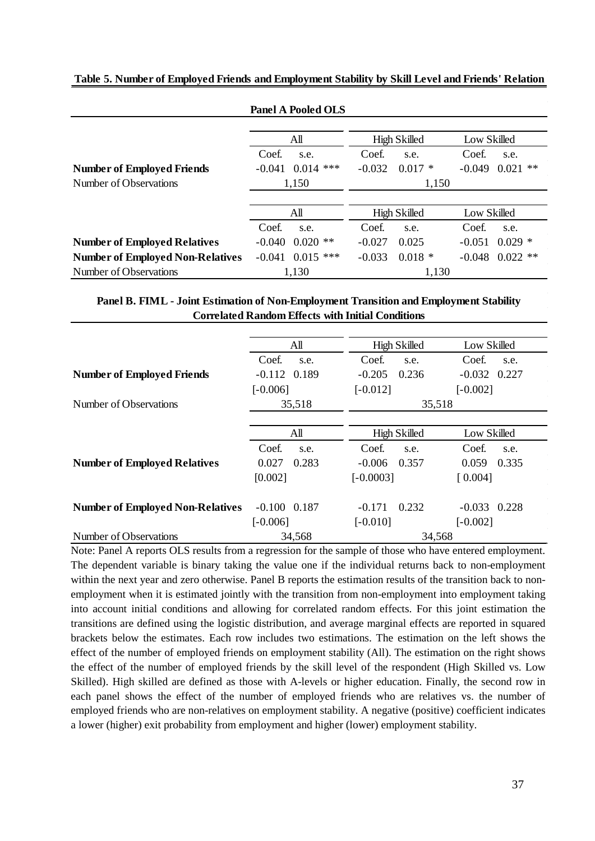|                                         | <b>Panel A Pooled OLS</b> |     |                     |                     |             |                     |
|-----------------------------------------|---------------------------|-----|---------------------|---------------------|-------------|---------------------|
|                                         | All                       |     |                     | <b>High Skilled</b> |             | Low Skilled         |
|                                         | Coef.<br>s.e.             |     | Coef.               | s.e.                | Coef.       | s.e.                |
| <b>Number of Employed Friends</b>       | 0.014<br>$-0.041$         | *** | $-0.032$            | $0.017 *$           | $-0.049$    | $\ast\ast$<br>0.021 |
| Number of Observations                  | 1,150                     |     | 1,150               |                     |             |                     |
|                                         |                           |     |                     |                     |             |                     |
|                                         | All                       |     | <b>High Skilled</b> |                     | Low Skilled |                     |
|                                         | Coef.<br>s.e.             |     | Coef.               | s.e.                | Coef.       | s.e.                |
| <b>Number of Employed Relatives</b>     | $0.020$ **<br>$-0.040$    |     | $-0.027$            | 0.025               | $-0.051$    | $0.029*$            |
| <b>Number of Employed Non-Relatives</b> | $0.015$ ***<br>$-0.041$   |     | $-0.033$            | $0.018*$            | $-0.048$    | $0.022$ **          |
| Number of Observations                  | 1,130                     |     |                     | 1,130               |             |                     |

### **Table 5. Number of Employed Friends and Employment Stability by Skill Level and Friends' Relation**

## **Panel B. FIML - Joint Estimation of Non-Employment Transition and Employment Stability Correlated Random Effects with Initial Conditions**

|                                         | All               | <b>High Skilled</b> | Low Skilled       |
|-----------------------------------------|-------------------|---------------------|-------------------|
|                                         | Coef.<br>s.e.     | Coef.<br>s.e.       | Coef.<br>s.e.     |
| <b>Number of Employed Friends</b>       | $-0.112$<br>0.189 | $-0.205$<br>0.236   | $-0.032$ 0.227    |
|                                         | $[-0.006]$        | $[-0.012]$          | $[-0.002]$        |
| Number of Observations                  | 35,518            | 35,518              |                   |
|                                         |                   |                     |                   |
|                                         | All               | <b>High Skilled</b> | Low Skilled       |
|                                         | Coef.<br>s.e.     | Coef.<br>s.e.       | Coef.<br>s.e.     |
| <b>Number of Employed Relatives</b>     | 0.283<br>0.027    | $-0.006$<br>0.357   | 0.059<br>0.335    |
|                                         | [0.002]           | $[-0.0003]$         | [0.004]           |
|                                         |                   |                     |                   |
| <b>Number of Employed Non-Relatives</b> | $-0.100$ $0.187$  | 0.232<br>$-0.171$   | $-0.033$<br>0.228 |
|                                         | $[-0.006]$        | $[-0.010]$          | $[-0.002]$        |
| Number of Observations                  | 34,568            | 34,568              |                   |

Note: Panel A reports OLS results from a regression for the sample of those who have entered employment. The dependent variable is binary taking the value one if the individual returns back to non-employment within the next year and zero otherwise. Panel B reports the estimation results of the transition back to nonemployment when it is estimated jointly with the transition from non-employment into employment taking into account initial conditions and allowing for correlated random effects. For this joint estimation the transitions are defined using the logistic distribution, and average marginal effects are reported in squared brackets below the estimates. Each row includes two estimations. The estimation on the left shows the effect of the number of employed friends on employment stability (All). The estimation on the right shows the effect of the number of employed friends by the skill level of the respondent (High Skilled vs. Low Skilled). High skilled are defined as those with A-levels or higher education. Finally, the second row in each panel shows the effect of the number of employed friends who are relatives vs. the number of employed friends who are non-relatives on employment stability. A negative (positive) coefficient indicates a lower (higher) exit probability from employment and higher (lower) employment stability.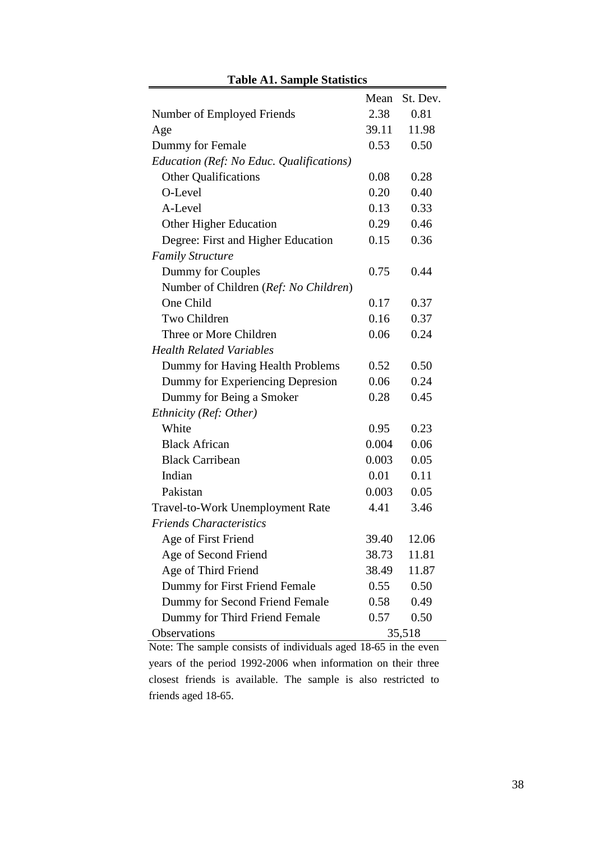| <b>Table A1. Sample Statistics</b>       |       |          |  |  |  |  |
|------------------------------------------|-------|----------|--|--|--|--|
|                                          | Mean  | St. Dev. |  |  |  |  |
| Number of Employed Friends               | 2.38  | 0.81     |  |  |  |  |
| Age                                      | 39.11 | 11.98    |  |  |  |  |
| Dummy for Female                         | 0.53  | 0.50     |  |  |  |  |
| Education (Ref: No Educ. Qualifications) |       |          |  |  |  |  |
| <b>Other Qualifications</b>              | 0.08  | 0.28     |  |  |  |  |
| O-Level                                  | 0.20  | 0.40     |  |  |  |  |
| A-Level                                  | 0.13  | 0.33     |  |  |  |  |
| Other Higher Education                   | 0.29  | 0.46     |  |  |  |  |
| Degree: First and Higher Education       | 0.15  | 0.36     |  |  |  |  |
| <b>Family Structure</b>                  |       |          |  |  |  |  |
| Dummy for Couples                        | 0.75  | 0.44     |  |  |  |  |
| Number of Children (Ref: No Children)    |       |          |  |  |  |  |
| One Child                                | 0.17  | 0.37     |  |  |  |  |
| Two Children                             | 0.16  | 0.37     |  |  |  |  |
| Three or More Children                   | 0.06  | 0.24     |  |  |  |  |
| <b>Health Related Variables</b>          |       |          |  |  |  |  |
| Dummy for Having Health Problems         | 0.52  | 0.50     |  |  |  |  |
| Dummy for Experiencing Depresion         | 0.06  | 0.24     |  |  |  |  |
| Dummy for Being a Smoker                 | 0.28  | 0.45     |  |  |  |  |
| Ethnicity (Ref: Other)                   |       |          |  |  |  |  |
| White                                    | 0.95  | 0.23     |  |  |  |  |
| <b>Black African</b>                     | 0.004 | 0.06     |  |  |  |  |
| <b>Black Carribean</b>                   | 0.003 | 0.05     |  |  |  |  |
| Indian                                   | 0.01  | 0.11     |  |  |  |  |
| Pakistan                                 | 0.003 | 0.05     |  |  |  |  |
| Travel-to-Work Unemployment Rate         | 4.41  | 3.46     |  |  |  |  |
| <b>Friends Characteristics</b>           |       |          |  |  |  |  |
| Age of First Friend                      | 39.40 | 12.06    |  |  |  |  |
| Age of Second Friend                     | 38.73 | 11.81    |  |  |  |  |
| Age of Third Friend                      | 38.49 | 11.87    |  |  |  |  |
| Dummy for First Friend Female            | 0.55  | 0.50     |  |  |  |  |
| Dummy for Second Friend Female           | 0.58  | 0.49     |  |  |  |  |
| Dummy for Third Friend Female            | 0.57  | 0.50     |  |  |  |  |
| Observations                             |       | 35,518   |  |  |  |  |

Note: The sample consists of individuals aged 18-65 in the even years of the period 1992-2006 when information on their three closest friends is available. The sample is also restricted to friends aged 18-65.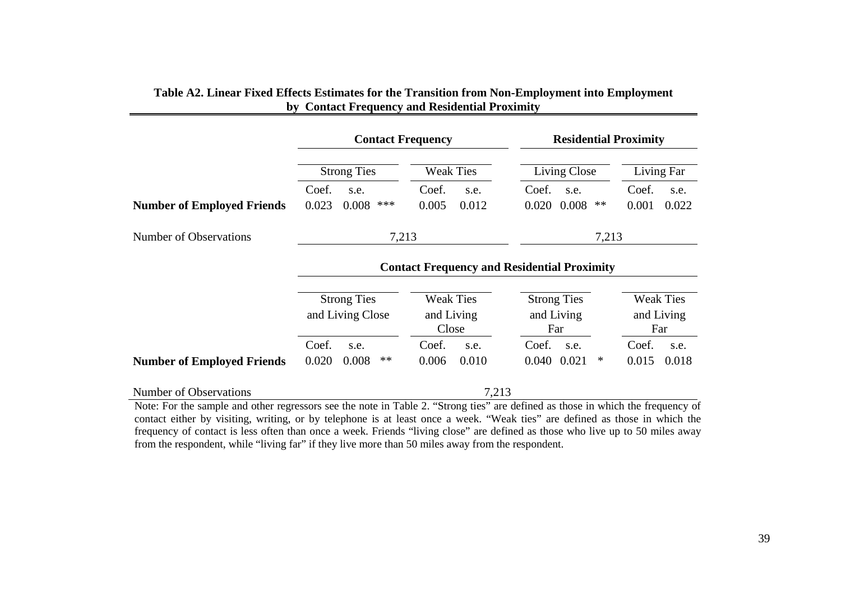|                                   | <b>Contact Frequency</b>               |                                                    | <b>Residential Proximity</b>            |                                       |  |  |
|-----------------------------------|----------------------------------------|----------------------------------------------------|-----------------------------------------|---------------------------------------|--|--|
|                                   | <b>Strong Ties</b>                     | <b>Weak Ties</b>                                   | Living Close                            | Living Far                            |  |  |
|                                   | Coef.<br>s.e.                          | Coef.<br>s.e.                                      | Coef.<br>s.e.                           | Coef.<br>s.e.                         |  |  |
| <b>Number of Employed Friends</b> | ***<br>0.023<br>0.008                  | 0.005<br>0.012                                     | 0.020 0.008<br>$\ast\ast$               | 0.001<br>0.022                        |  |  |
| Number of Observations            | 7,213<br>7,213                         |                                                    |                                         |                                       |  |  |
|                                   |                                        | <b>Contact Frequency and Residential Proximity</b> |                                         |                                       |  |  |
|                                   |                                        |                                                    |                                         |                                       |  |  |
|                                   | <b>Strong Ties</b><br>and Living Close | <b>Weak Ties</b><br>and Living<br>Close            | <b>Strong Ties</b><br>and Living<br>Far | <b>Weak Ties</b><br>and Living<br>Far |  |  |
|                                   | Coef.<br>s.e.                          | Coef.<br>s.e.                                      | Coef.<br>s.e.                           | Coef.<br>s.e.                         |  |  |
| <b>Number of Employed Friends</b> | $***$<br>0.020<br>0.008                | 0.006<br>0.010                                     | 0.040 0.021<br>$\ast$                   | 0.015<br>0.018                        |  |  |
| Number of Observations            |                                        | 7,213                                              |                                         |                                       |  |  |

# **Table A2. Linear Fixed Effects Estimates for the Transition from Non-Employment into Employment by Contact Frequency and Residential Proximity**

Note: For the sample and other regressors see the note in Table 2. "Strong ties" are defined as those in which the frequency of contact either by visiting, writing, or by telephone is at least once a week. "Weak ties" are defined as those in which the frequency of contact is less often than once a week. Friends "living close" are defined as those who live up to 50 miles away from the respondent, while "living far" if they live more than 50 miles away from the respondent.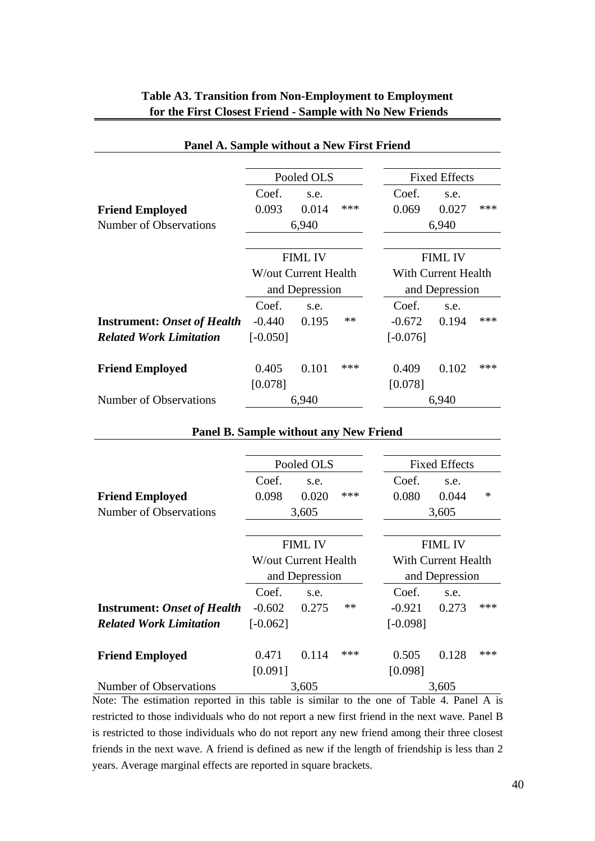| Panel A. Sample without a New First Friend |                              |                |     |                     |                      |     |  |  |
|--------------------------------------------|------------------------------|----------------|-----|---------------------|----------------------|-----|--|--|
|                                            | Pooled OLS                   |                |     |                     | <b>Fixed Effects</b> |     |  |  |
|                                            | Coef.                        | s.e.           |     | Coef.               | s.e.                 |     |  |  |
| <b>Friend Employed</b>                     | 0.093                        | 0.014          | *** | 0.069               | 0.027                | *** |  |  |
| Number of Observations                     |                              | 6,940          |     |                     | 6,940                |     |  |  |
|                                            |                              |                |     |                     |                      |     |  |  |
|                                            | <b>FIML IV</b>               |                |     |                     | <b>FIML IV</b>       |     |  |  |
|                                            | <b>W</b> /out Current Health |                |     | With Current Health |                      |     |  |  |
|                                            |                              | and Depression |     | and Depression      |                      |     |  |  |
|                                            | Coef.                        | s.e.           |     | Coef.               | s.e.                 |     |  |  |
| <b>Instrument: Onset of Health</b>         | $-0.440$                     | 0.195          | **  | $-0.672$            | 0.194                | *** |  |  |
| <b>Related Work Limitation</b>             | $[-0.050]$                   |                |     | $[-0.076]$          |                      |     |  |  |
| <b>Friend Employed</b>                     | 0.405                        | 0.101          | *** | 0.409               | 0.102                | *** |  |  |
|                                            | [0.078]                      |                |     | [0.078]             |                      |     |  |  |
| Number of Observations                     |                              | 6,940          |     |                     | 6,940                |     |  |  |

# **Table A3. Transition from Non-Employment to Employment for the First Closest Friend - Sample with No New Friends**

## **Panel B. Sample without any New Friend**

|                                    |                              | Pooled OLS     |     | <b>Fixed Effects</b>       |                |        |  |  |
|------------------------------------|------------------------------|----------------|-----|----------------------------|----------------|--------|--|--|
|                                    | Coef.                        | s.e.           |     | Coef.                      | s.e.           |        |  |  |
| <b>Friend Employed</b>             | 0.098                        | 0.020          | *** | 0.080                      | 0.044          | $\ast$ |  |  |
| Number of Observations             |                              | 3,605          |     |                            | 3,605          |        |  |  |
|                                    |                              |                |     |                            |                |        |  |  |
|                                    | <b>FIML IV</b>               |                |     | <b>FIML IV</b>             |                |        |  |  |
|                                    | <b>W</b> /out Current Health |                |     | <b>With Current Health</b> |                |        |  |  |
|                                    |                              | and Depression |     |                            | and Depression |        |  |  |
|                                    | Coef.                        | s.e.           |     | Coef.                      | s.e.           |        |  |  |
| <b>Instrument: Onset of Health</b> | $-0.602$                     | 0.275          | **  | $-0.921$                   | 0.273          | ***    |  |  |
| <b>Related Work Limitation</b>     | $[-0.062]$                   |                |     | $[-0.098]$                 |                |        |  |  |
| <b>Friend Employed</b>             | 0.471                        | 0.114          | *** | 0.505                      | 0.128          | ***    |  |  |
|                                    | [0.091]                      |                |     | [0.098]                    |                |        |  |  |
| Number of Observations             |                              | 3,605          |     |                            | 3,605          |        |  |  |

Note: The estimation reported in this table is similar to the one of Table 4. Panel A is restricted to those individuals who do not report a new first friend in the next wave. Panel B is restricted to those individuals who do not report any new friend among their three closest friends in the next wave. A friend is defined as new if the length of friendship is less than 2 years. Average marginal effects are reported in square brackets.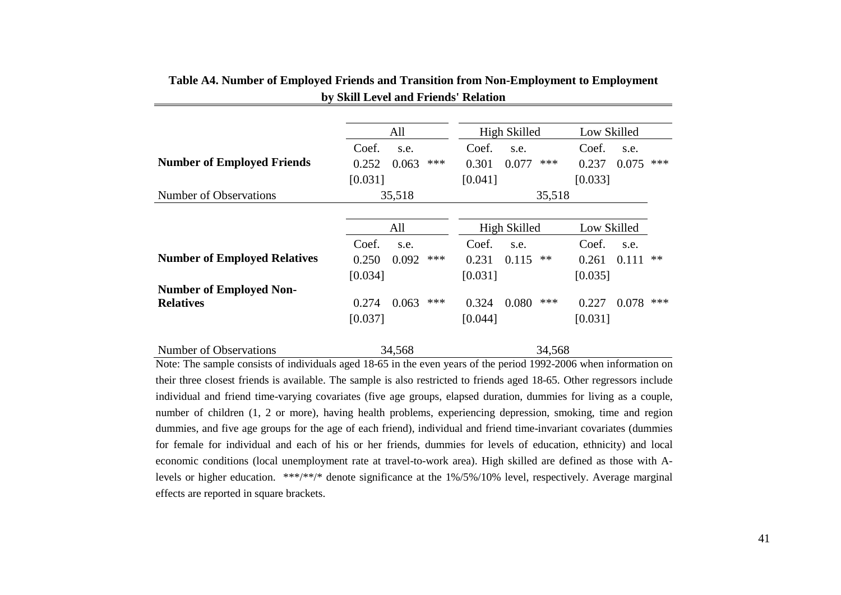|                                     | All            | High Skilled |         |       | Low Skilled |         |       |     |
|-------------------------------------|----------------|--------------|---------|-------|-------------|---------|-------|-----|
|                                     | Coef.<br>s.e.  |              | Coef.   | s.e.  |             | Coef.   | s.e.  |     |
| <b>Number of Employed Friends</b>   | 0.252<br>0.063 | ***          | 0.301   | 0.077 | ***         | 0.237   | 0.075 | *** |
|                                     | [0.031]        |              | [0.041] |       |             | [0.033] |       |     |
| Number of Observations              | 35,518         | 35,518       |         |       |             |         |       |     |
|                                     |                |              |         |       |             |         |       |     |
|                                     | All            | High Skilled |         |       | Low Skilled |         |       |     |
|                                     | Coef.<br>s.e.  |              | Coef.   | s.e.  |             | Coef.   | s.e.  |     |
| <b>Number of Employed Relatives</b> | 0.250<br>0.092 | ***          | 0.231   | 0.115 | $**$        | 0.261   | 0.111 | **  |
|                                     | [0.034]        |              | [0.031] |       |             | [0.035] |       |     |
| <b>Number of Employed Non-</b>      |                |              |         |       |             |         |       |     |
| <b>Relatives</b>                    | 0.063<br>0.274 | ***          | 0.324   | 0.080 | ***         | 0.227   | 0.078 | *** |
|                                     | [0.037]        |              | [0.044] |       |             | [0.031] |       |     |
| Number of Observations              | 34,568         | 34,568       |         |       |             |         |       |     |

**Table A4. Number of Employed Friends and Transition from Non-Employment to Employment by Skill Level and Friends' Relation**

Note: The sample consists of individuals aged 18-65 in the even years of the period 1992-2006 when information on their three closest friends is available. The sample is also restricted to friends aged 18-65. Other regressors include individual and friend time-varying covariates (five age groups, elapsed duration, dummies for living as a couple, number of children (1, 2 or more), having health problems, experiencing depression, smoking, time and region dummies, and five age groups for the age of each friend), individual and friend time-invariant covariates (dummies for female for individual and each of his or her friends, dummies for levels of education, ethnicity) and local economic conditions (local unemployment rate at travel-to-work area). High skilled are defined as those with Alevels or higher education. \*\*\*/\*\*/\* denote significance at the 1%/5%/10% level, respectively. Average marginal effects are reported in square brackets.